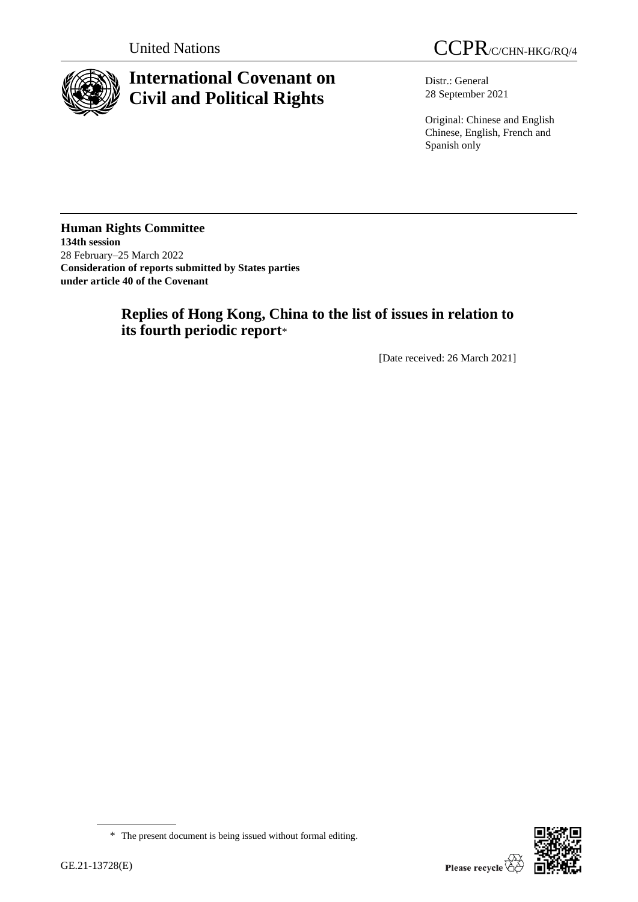

# **International Covenant on Civil and Political Rights**

United Nations CCPR/C/CHN-HKG/RQ/4

Distr.: General 28 September 2021

Original: Chinese and English Chinese, English, French and Spanish only

# **Human Rights Committee 134th session** 28 February–25 March 2022 **Consideration of reports submitted by States parties under article 40 of the Covenant**

# **Replies of Hong Kong, China to the list of issues in relation to its fourth periodic report**\*

[Date received: 26 March 2021]

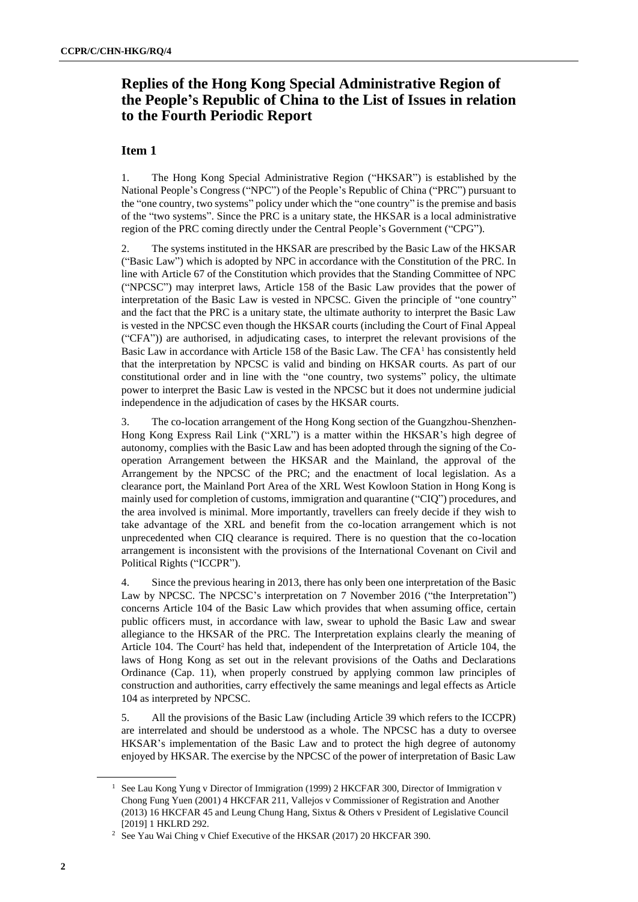# **Replies of the Hong Kong Special Administrative Region of the People's Republic of China to the List of Issues in relation to the Fourth Periodic Report**

# **Item 1**

1. The Hong Kong Special Administrative Region ("HKSAR") is established by the National People's Congress ("NPC") of the People's Republic of China ("PRC") pursuant to the "one country, two systems" policy under which the "one country" is the premise and basis of the "two systems". Since the PRC is a unitary state, the HKSAR is a local administrative region of the PRC coming directly under the Central People's Government ("CPG").

2. The systems instituted in the HKSAR are prescribed by the Basic Law of the HKSAR ("Basic Law") which is adopted by NPC in accordance with the Constitution of the PRC. In line with Article 67 of the Constitution which provides that the Standing Committee of NPC ("NPCSC") may interpret laws, Article 158 of the Basic Law provides that the power of interpretation of the Basic Law is vested in NPCSC. Given the principle of "one country" and the fact that the PRC is a unitary state, the ultimate authority to interpret the Basic Law is vested in the NPCSC even though the HKSAR courts (including the Court of Final Appeal ("CFA")) are authorised, in adjudicating cases, to interpret the relevant provisions of the Basic Law in accordance with Article 158 of the Basic Law. The CFA<sup>1</sup> has consistently held that the interpretation by NPCSC is valid and binding on HKSAR courts. As part of our constitutional order and in line with the "one country, two systems" policy, the ultimate power to interpret the Basic Law is vested in the NPCSC but it does not undermine judicial independence in the adjudication of cases by the HKSAR courts.

3. The co-location arrangement of the Hong Kong section of the Guangzhou-Shenzhen-Hong Kong Express Rail Link ("XRL") is a matter within the HKSAR's high degree of autonomy, complies with the Basic Law and has been adopted through the signing of the Cooperation Arrangement between the HKSAR and the Mainland, the approval of the Arrangement by the NPCSC of the PRC; and the enactment of local legislation. As a clearance port, the Mainland Port Area of the XRL West Kowloon Station in Hong Kong is mainly used for completion of customs, immigration and quarantine ("CIQ") procedures, and the area involved is minimal. More importantly, travellers can freely decide if they wish to take advantage of the XRL and benefit from the co-location arrangement which is not unprecedented when CIQ clearance is required. There is no question that the co-location arrangement is inconsistent with the provisions of the International Covenant on Civil and Political Rights ("ICCPR").

4. Since the previous hearing in 2013, there has only been one interpretation of the Basic Law by NPCSC. The NPCSC's interpretation on 7 November 2016 ("the Interpretation") concerns Article 104 of the Basic Law which provides that when assuming office, certain public officers must, in accordance with law, swear to uphold the Basic Law and swear allegiance to the HKSAR of the PRC. The Interpretation explains clearly the meaning of Article 104. The Court<sup>2</sup> has held that, independent of the Interpretation of Article 104, the laws of Hong Kong as set out in the relevant provisions of the Oaths and Declarations Ordinance (Cap. 11), when properly construed by applying common law principles of construction and authorities, carry effectively the same meanings and legal effects as Article 104 as interpreted by NPCSC.

5. All the provisions of the Basic Law (including Article 39 which refers to the ICCPR) are interrelated and should be understood as a whole. The NPCSC has a duty to oversee HKSAR's implementation of the Basic Law and to protect the high degree of autonomy enjoyed by HKSAR. The exercise by the NPCSC of the power of interpretation of Basic Law

<sup>&</sup>lt;sup>1</sup> See Lau Kong Yung v Director of Immigration (1999) 2 HKCFAR 300, Director of Immigration v Chong Fung Yuen (2001) 4 HKCFAR 211, Vallejos v Commissioner of Registration and Another (2013) 16 HKCFAR 45 and Leung Chung Hang, Sixtus & Others v President of Legislative Council [2019] 1 HKLRD 292.

<sup>2</sup> See Yau Wai Ching v Chief Executive of the HKSAR (2017) 20 HKCFAR 390.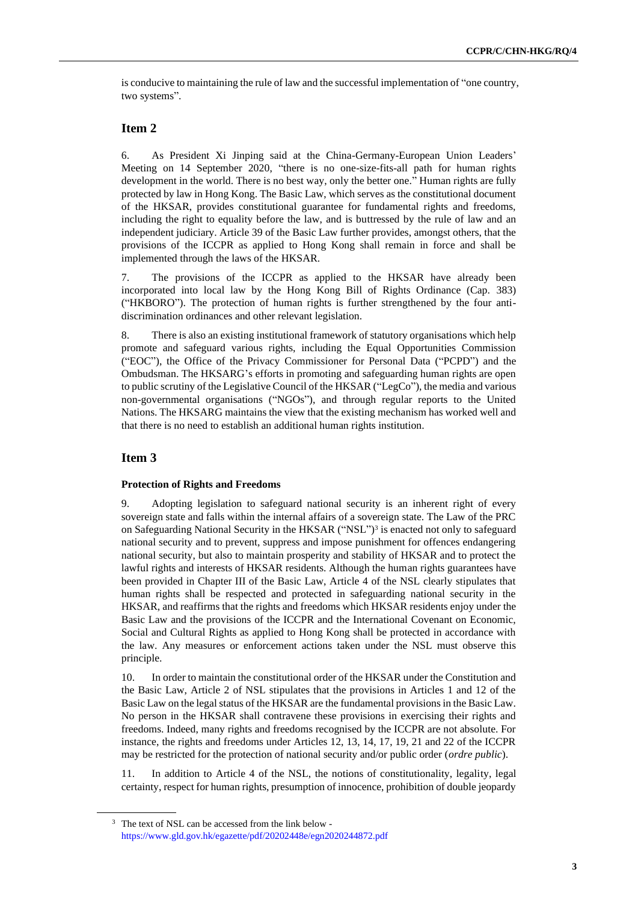is conducive to maintaining the rule of law and the successful implementation of "one country, two systems".

### **Item 2**

6. As President Xi Jinping said at the China-Germany-European Union Leaders' Meeting on 14 September 2020, "there is no one-size-fits-all path for human rights development in the world. There is no best way, only the better one." Human rights are fully protected by law in Hong Kong. The Basic Law, which serves as the constitutional document of the HKSAR, provides constitutional guarantee for fundamental rights and freedoms, including the right to equality before the law, and is buttressed by the rule of law and an independent judiciary. Article 39 of the Basic Law further provides, amongst others, that the provisions of the ICCPR as applied to Hong Kong shall remain in force and shall be implemented through the laws of the HKSAR.

7. The provisions of the ICCPR as applied to the HKSAR have already been incorporated into local law by the Hong Kong Bill of Rights Ordinance (Cap. 383) ("HKBORO"). The protection of human rights is further strengthened by the four antidiscrimination ordinances and other relevant legislation.

8. There is also an existing institutional framework of statutory organisations which help promote and safeguard various rights, including the Equal Opportunities Commission ("EOC"), the Office of the Privacy Commissioner for Personal Data ("PCPD") and the Ombudsman. The HKSARG's efforts in promoting and safeguarding human rights are open to public scrutiny of the Legislative Council of the HKSAR ("LegCo"), the media and various non-governmental organisations ("NGOs"), and through regular reports to the United Nations. The HKSARG maintains the view that the existing mechanism has worked well and that there is no need to establish an additional human rights institution.

# **Item 3**

#### **Protection of Rights and Freedoms**

9. Adopting legislation to safeguard national security is an inherent right of every sovereign state and falls within the internal affairs of a sovereign state. The Law of the PRC on Safeguarding National Security in the HKSAR ("NSL") 3 is enacted not only to safeguard national security and to prevent, suppress and impose punishment for offences endangering national security, but also to maintain prosperity and stability of HKSAR and to protect the lawful rights and interests of HKSAR residents. Although the human rights guarantees have been provided in Chapter III of the Basic Law, Article 4 of the NSL clearly stipulates that human rights shall be respected and protected in safeguarding national security in the HKSAR, and reaffirms that the rights and freedoms which HKSAR residents enjoy under the Basic Law and the provisions of the ICCPR and the International Covenant on Economic, Social and Cultural Rights as applied to Hong Kong shall be protected in accordance with the law. Any measures or enforcement actions taken under the NSL must observe this principle.

10. In order to maintain the constitutional order of the HKSAR under the Constitution and the Basic Law, Article 2 of NSL stipulates that the provisions in Articles 1 and 12 of the Basic Law on the legal status of the HKSAR are the fundamental provisions in the Basic Law. No person in the HKSAR shall contravene these provisions in exercising their rights and freedoms. Indeed, many rights and freedoms recognised by the ICCPR are not absolute. For instance, the rights and freedoms under Articles 12, 13, 14, 17, 19, 21 and 22 of the ICCPR may be restricted for the protection of national security and/or public order (*ordre public*).

11. In addition to Article 4 of the NSL, the notions of constitutionality, legality, legal certainty, respect for human rights, presumption of innocence, prohibition of double jeopardy

<sup>3</sup> The text of NSL can be accessed from the link below <https://www.gld.gov.hk/egazette/pdf/20202448e/egn2020244872.pdf>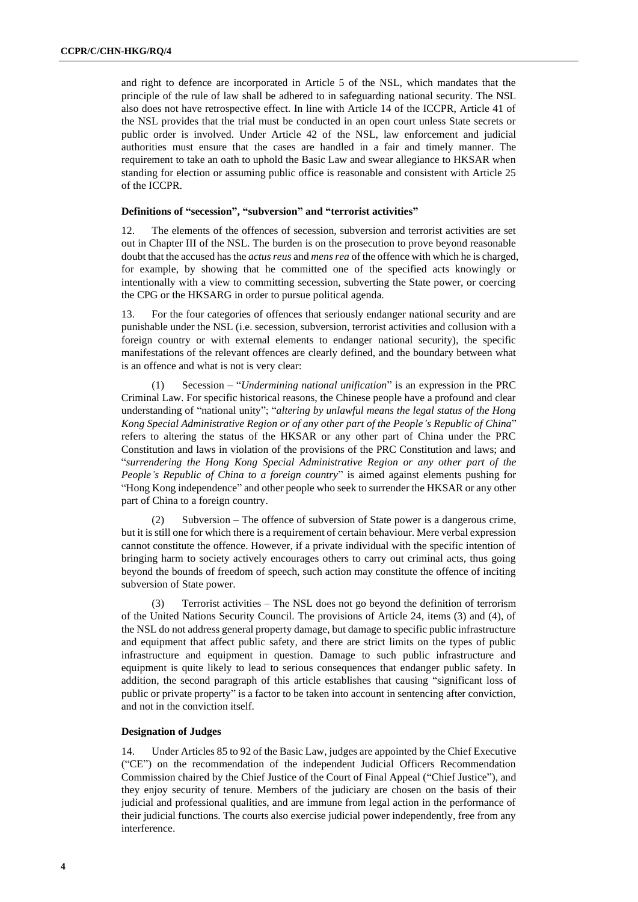and right to defence are incorporated in Article 5 of the NSL, which mandates that the principle of the rule of law shall be adhered to in safeguarding national security. The NSL also does not have retrospective effect. In line with Article 14 of the ICCPR, Article 41 of the NSL provides that the trial must be conducted in an open court unless State secrets or public order is involved. Under Article 42 of the NSL, law enforcement and judicial authorities must ensure that the cases are handled in a fair and timely manner. The requirement to take an oath to uphold the Basic Law and swear allegiance to HKSAR when standing for election or assuming public office is reasonable and consistent with Article 25 of the ICCPR.

#### **Definitions of "secession", "subversion" and "terrorist activities"**

12. The elements of the offences of secession, subversion and terrorist activities are set out in Chapter III of the NSL. The burden is on the prosecution to prove beyond reasonable doubt that the accused has the *actus reus* and *mensrea* of the offence with which he is charged, for example, by showing that he committed one of the specified acts knowingly or intentionally with a view to committing secession, subverting the State power, or coercing the CPG or the HKSARG in order to pursue political agenda.

13. For the four categories of offences that seriously endanger national security and are punishable under the NSL (i.e. secession, subversion, terrorist activities and collusion with a foreign country or with external elements to endanger national security), the specific manifestations of the relevant offences are clearly defined, and the boundary between what is an offence and what is not is very clear:

(1) Secession – "*Undermining national unification*" is an expression in the PRC Criminal Law. For specific historical reasons, the Chinese people have a profound and clear understanding of "national unity"; "*altering by unlawful means the legal status of the Hong Kong Special Administrative Region or of any other part of the People's Republic of China*" refers to altering the status of the HKSAR or any other part of China under the PRC Constitution and laws in violation of the provisions of the PRC Constitution and laws; and "*surrendering the Hong Kong Special Administrative Region or any other part of the People's Republic of China to a foreign country*" is aimed against elements pushing for "Hong Kong independence" and other people who seek to surrender the HKSAR or any other part of China to a foreign country.

(2) Subversion – The offence of subversion of State power is a dangerous crime, but it is still one for which there is a requirement of certain behaviour. Mere verbal expression cannot constitute the offence. However, if a private individual with the specific intention of bringing harm to society actively encourages others to carry out criminal acts, thus going beyond the bounds of freedom of speech, such action may constitute the offence of inciting subversion of State power.

(3) Terrorist activities – The NSL does not go beyond the definition of terrorism of the United Nations Security Council. The provisions of Article 24, items (3) and (4), of the NSL do not address general property damage, but damage to specific public infrastructure and equipment that affect public safety, and there are strict limits on the types of public infrastructure and equipment in question. Damage to such public infrastructure and equipment is quite likely to lead to serious consequences that endanger public safety. In addition, the second paragraph of this article establishes that causing "significant loss of public or private property" is a factor to be taken into account in sentencing after conviction, and not in the conviction itself.

### **Designation of Judges**

14. Under Articles 85 to 92 of the Basic Law, judges are appointed by the Chief Executive ("CE") on the recommendation of the independent Judicial Officers Recommendation Commission chaired by the Chief Justice of the Court of Final Appeal ("Chief Justice"), and they enjoy security of tenure. Members of the judiciary are chosen on the basis of their judicial and professional qualities, and are immune from legal action in the performance of their judicial functions. The courts also exercise judicial power independently, free from any interference.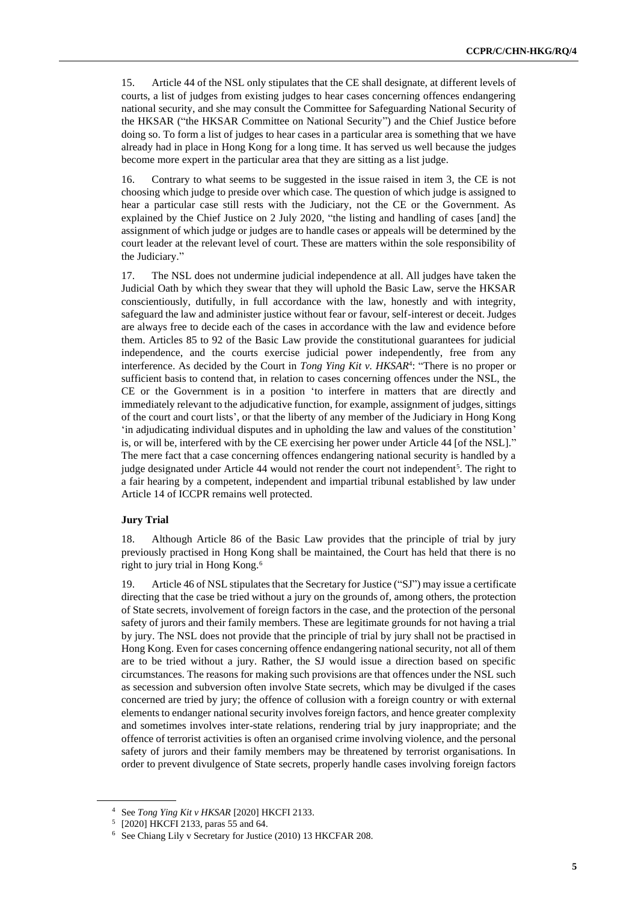15. Article 44 of the NSL only stipulates that the CE shall designate, at different levels of courts, a list of judges from existing judges to hear cases concerning offences endangering national security, and she may consult the Committee for Safeguarding National Security of the HKSAR ("the HKSAR Committee on National Security") and the Chief Justice before doing so. To form a list of judges to hear cases in a particular area is something that we have already had in place in Hong Kong for a long time. It has served us well because the judges become more expert in the particular area that they are sitting as a list judge.

16. Contrary to what seems to be suggested in the issue raised in item 3, the CE is not choosing which judge to preside over which case. The question of which judge is assigned to hear a particular case still rests with the Judiciary, not the CE or the Government. As explained by the Chief Justice on 2 July 2020, "the listing and handling of cases [and] the assignment of which judge or judges are to handle cases or appeals will be determined by the court leader at the relevant level of court. These are matters within the sole responsibility of the Judiciary."

17. The NSL does not undermine judicial independence at all. All judges have taken the Judicial Oath by which they swear that they will uphold the Basic Law, serve the HKSAR conscientiously, dutifully, in full accordance with the law, honestly and with integrity, safeguard the law and administer justice without fear or favour, self-interest or deceit. Judges are always free to decide each of the cases in accordance with the law and evidence before them. Articles 85 to 92 of the Basic Law provide the constitutional guarantees for judicial independence, and the courts exercise judicial power independently, free from any interference. As decided by the Court in *Tong Ying Kit v. HKSAR*<sup>4</sup> : "There is no proper or sufficient basis to contend that, in relation to cases concerning offences under the NSL, the CE or the Government is in a position 'to interfere in matters that are directly and immediately relevant to the adjudicative function, for example, assignment of judges, sittings of the court and court lists', or that the liberty of any member of the Judiciary in Hong Kong 'in adjudicating individual disputes and in upholding the law and values of the constitution' is, or will be, interfered with by the CE exercising her power under Article 44 [of the NSL]." The mere fact that a case concerning offences endangering national security is handled by a judge designated under Article 44 would not render the court not independent<sup>5</sup>. The right to a fair hearing by a competent, independent and impartial tribunal established by law under Article 14 of ICCPR remains well protected.

#### **Jury Trial**

18. Although Article 86 of the Basic Law provides that the principle of trial by jury previously practised in Hong Kong shall be maintained, the Court has held that there is no right to jury trial in Hong Kong.<sup>6</sup>

19. Article 46 of NSL stipulates that the Secretary for Justice ("SJ") may issue a certificate directing that the case be tried without a jury on the grounds of, among others, the protection of State secrets, involvement of foreign factors in the case, and the protection of the personal safety of jurors and their family members. These are legitimate grounds for not having a trial by jury. The NSL does not provide that the principle of trial by jury shall not be practised in Hong Kong. Even for cases concerning offence endangering national security, not all of them are to be tried without a jury. Rather, the SJ would issue a direction based on specific circumstances. The reasons for making such provisions are that offences under the NSL such as secession and subversion often involve State secrets, which may be divulged if the cases concerned are tried by jury; the offence of collusion with a foreign country or with external elements to endanger national security involves foreign factors, and hence greater complexity and sometimes involves inter-state relations, rendering trial by jury inappropriate; and the offence of terrorist activities is often an organised crime involving violence, and the personal safety of jurors and their family members may be threatened by terrorist organisations. In order to prevent divulgence of State secrets, properly handle cases involving foreign factors

<sup>4</sup> See *Tong Ying Kit v HKSAR* [2020] HKCFI 2133.

<sup>5</sup> [2020] HKCFI 2133, paras 55 and 64.

<sup>6</sup> See Chiang Lily v Secretary for Justice (2010) 13 HKCFAR 208.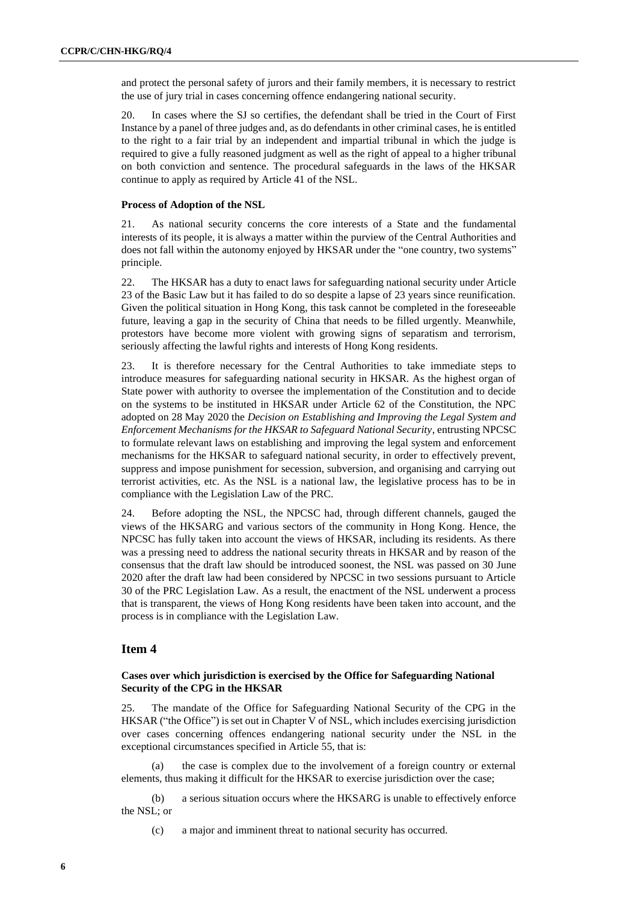and protect the personal safety of jurors and their family members, it is necessary to restrict the use of jury trial in cases concerning offence endangering national security.

20. In cases where the SJ so certifies, the defendant shall be tried in the Court of First Instance by a panel of three judges and, as do defendants in other criminal cases, he is entitled to the right to a fair trial by an independent and impartial tribunal in which the judge is required to give a fully reasoned judgment as well as the right of appeal to a higher tribunal on both conviction and sentence. The procedural safeguards in the laws of the HKSAR continue to apply as required by Article 41 of the NSL.

#### **Process of Adoption of the NSL**

21. As national security concerns the core interests of a State and the fundamental interests of its people, it is always a matter within the purview of the Central Authorities and does not fall within the autonomy enjoyed by HKSAR under the "one country, two systems" principle.

22. The HKSAR has a duty to enact laws for safeguarding national security under Article 23 of the Basic Law but it has failed to do so despite a lapse of 23 years since reunification. Given the political situation in Hong Kong, this task cannot be completed in the foreseeable future, leaving a gap in the security of China that needs to be filled urgently. Meanwhile, protestors have become more violent with growing signs of separatism and terrorism, seriously affecting the lawful rights and interests of Hong Kong residents.

23. It is therefore necessary for the Central Authorities to take immediate steps to introduce measures for safeguarding national security in HKSAR. As the highest organ of State power with authority to oversee the implementation of the Constitution and to decide on the systems to be instituted in HKSAR under Article 62 of the Constitution, the NPC adopted on 28 May 2020 the *Decision on Establishing and Improving the Legal System and Enforcement Mechanisms for the HKSAR to Safeguard National Security*, entrusting NPCSC to formulate relevant laws on establishing and improving the legal system and enforcement mechanisms for the HKSAR to safeguard national security, in order to effectively prevent, suppress and impose punishment for secession, subversion, and organising and carrying out terrorist activities, etc. As the NSL is a national law, the legislative process has to be in compliance with the Legislation Law of the PRC.

24. Before adopting the NSL, the NPCSC had, through different channels, gauged the views of the HKSARG and various sectors of the community in Hong Kong. Hence, the NPCSC has fully taken into account the views of HKSAR, including its residents. As there was a pressing need to address the national security threats in HKSAR and by reason of the consensus that the draft law should be introduced soonest, the NSL was passed on 30 June 2020 after the draft law had been considered by NPCSC in two sessions pursuant to Article 30 of the PRC Legislation Law. As a result, the enactment of the NSL underwent a process that is transparent, the views of Hong Kong residents have been taken into account, and the process is in compliance with the Legislation Law.

#### **Item 4**

### **Cases over which jurisdiction is exercised by the Office for Safeguarding National Security of the CPG in the HKSAR**

25. The mandate of the Office for Safeguarding National Security of the CPG in the HKSAR ("the Office") is set out in Chapter V of NSL, which includes exercising jurisdiction over cases concerning offences endangering national security under the NSL in the exceptional circumstances specified in Article 55, that is:

the case is complex due to the involvement of a foreign country or external elements, thus making it difficult for the HKSAR to exercise jurisdiction over the case;

(b) a serious situation occurs where the HKSARG is unable to effectively enforce the NSL; or

(c) a major and imminent threat to national security has occurred.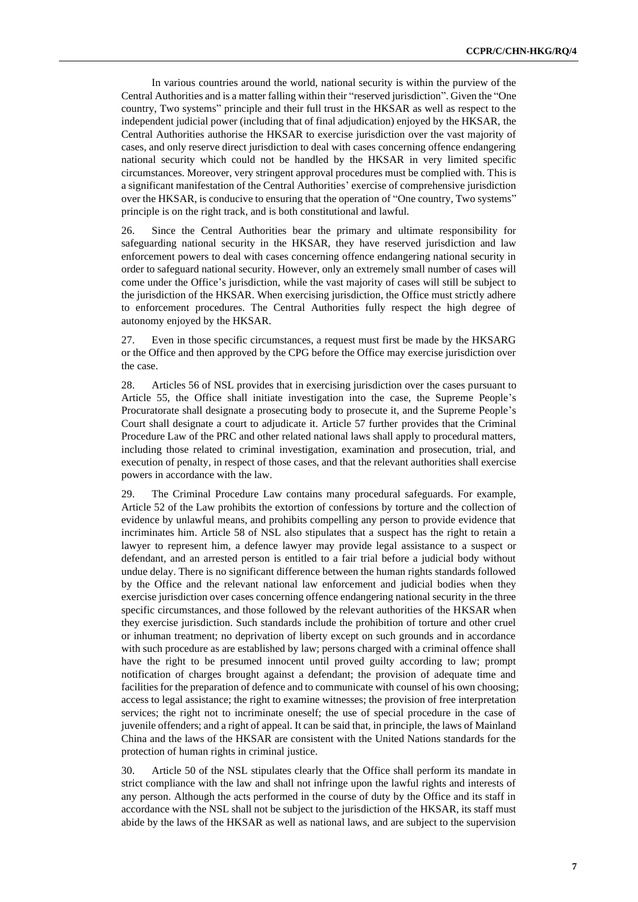In various countries around the world, national security is within the purview of the Central Authorities and is a matter falling within their "reserved jurisdiction". Given the "One country, Two systems" principle and their full trust in the HKSAR as well as respect to the independent judicial power (including that of final adjudication) enjoyed by the HKSAR, the Central Authorities authorise the HKSAR to exercise jurisdiction over the vast majority of cases, and only reserve direct jurisdiction to deal with cases concerning offence endangering national security which could not be handled by the HKSAR in very limited specific circumstances. Moreover, very stringent approval procedures must be complied with. This is a significant manifestation of the Central Authorities' exercise of comprehensive jurisdiction over the HKSAR, is conducive to ensuring that the operation of "One country, Two systems" principle is on the right track, and is both constitutional and lawful.

26. Since the Central Authorities bear the primary and ultimate responsibility for safeguarding national security in the HKSAR, they have reserved jurisdiction and law enforcement powers to deal with cases concerning offence endangering national security in order to safeguard national security. However, only an extremely small number of cases will come under the Office's jurisdiction, while the vast majority of cases will still be subject to the jurisdiction of the HKSAR. When exercising jurisdiction, the Office must strictly adhere to enforcement procedures. The Central Authorities fully respect the high degree of autonomy enjoyed by the HKSAR.

27. Even in those specific circumstances, a request must first be made by the HKSARG or the Office and then approved by the CPG before the Office may exercise jurisdiction over the case.

28. Articles 56 of NSL provides that in exercising jurisdiction over the cases pursuant to Article 55, the Office shall initiate investigation into the case, the Supreme People's Procuratorate shall designate a prosecuting body to prosecute it, and the Supreme People's Court shall designate a court to adjudicate it. Article 57 further provides that the Criminal Procedure Law of the PRC and other related national laws shall apply to procedural matters, including those related to criminal investigation, examination and prosecution, trial, and execution of penalty, in respect of those cases, and that the relevant authorities shall exercise powers in accordance with the law.

29. The Criminal Procedure Law contains many procedural safeguards. For example, Article 52 of the Law prohibits the extortion of confessions by torture and the collection of evidence by unlawful means, and prohibits compelling any person to provide evidence that incriminates him. Article 58 of NSL also stipulates that a suspect has the right to retain a lawyer to represent him, a defence lawyer may provide legal assistance to a suspect or defendant, and an arrested person is entitled to a fair trial before a judicial body without undue delay. There is no significant difference between the human rights standards followed by the Office and the relevant national law enforcement and judicial bodies when they exercise jurisdiction over cases concerning offence endangering national security in the three specific circumstances, and those followed by the relevant authorities of the HKSAR when they exercise jurisdiction. Such standards include the prohibition of torture and other cruel or inhuman treatment; no deprivation of liberty except on such grounds and in accordance with such procedure as are established by law; persons charged with a criminal offence shall have the right to be presumed innocent until proved guilty according to law; prompt notification of charges brought against a defendant; the provision of adequate time and facilities for the preparation of defence and to communicate with counsel of his own choosing; access to legal assistance; the right to examine witnesses; the provision of free interpretation services; the right not to incriminate oneself; the use of special procedure in the case of juvenile offenders; and a right of appeal. It can be said that, in principle, the laws of Mainland China and the laws of the HKSAR are consistent with the United Nations standards for the protection of human rights in criminal justice.

30. Article 50 of the NSL stipulates clearly that the Office shall perform its mandate in strict compliance with the law and shall not infringe upon the lawful rights and interests of any person. Although the acts performed in the course of duty by the Office and its staff in accordance with the NSL shall not be subject to the jurisdiction of the HKSAR, its staff must abide by the laws of the HKSAR as well as national laws, and are subject to the supervision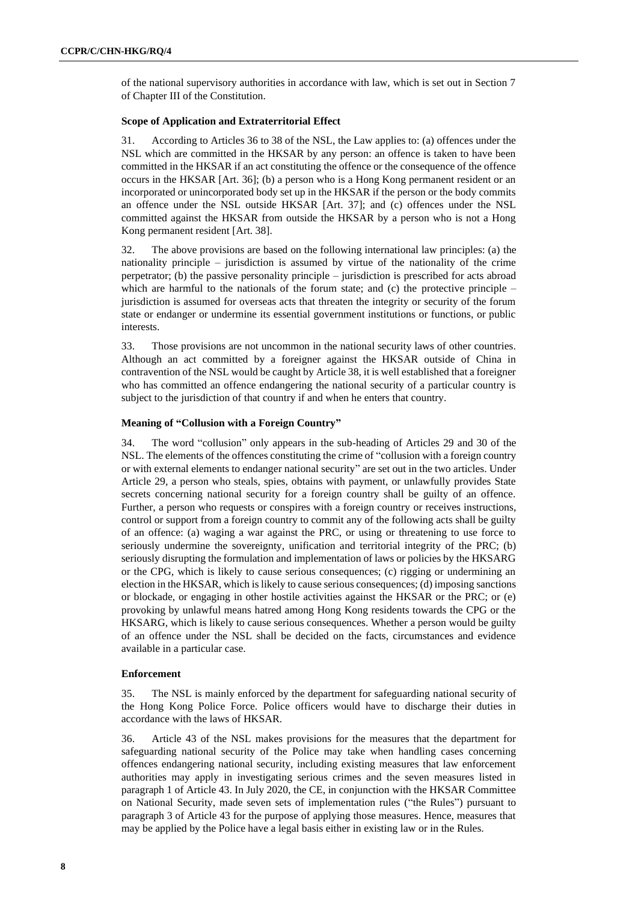of the national supervisory authorities in accordance with law, which is set out in Section 7 of Chapter III of the Constitution.

#### **Scope of Application and Extraterritorial Effect**

31. According to Articles 36 to 38 of the NSL, the Law applies to: (a) offences under the NSL which are committed in the HKSAR by any person: an offence is taken to have been committed in the HKSAR if an act constituting the offence or the consequence of the offence occurs in the HKSAR [Art. 36]; (b) a person who is a Hong Kong permanent resident or an incorporated or unincorporated body set up in the HKSAR if the person or the body commits an offence under the NSL outside HKSAR [Art. 37]; and (c) offences under the NSL committed against the HKSAR from outside the HKSAR by a person who is not a Hong Kong permanent resident [Art. 38].

32. The above provisions are based on the following international law principles: (a) the nationality principle – jurisdiction is assumed by virtue of the nationality of the crime perpetrator; (b) the passive personality principle – jurisdiction is prescribed for acts abroad which are harmful to the nationals of the forum state; and (c) the protective principle – jurisdiction is assumed for overseas acts that threaten the integrity or security of the forum state or endanger or undermine its essential government institutions or functions, or public interests.

33. Those provisions are not uncommon in the national security laws of other countries. Although an act committed by a foreigner against the HKSAR outside of China in contravention of the NSL would be caught by Article 38, it is well established that a foreigner who has committed an offence endangering the national security of a particular country is subject to the jurisdiction of that country if and when he enters that country.

#### **Meaning of "Collusion with a Foreign Country"**

34. The word "collusion" only appears in the sub-heading of Articles 29 and 30 of the NSL. The elements of the offences constituting the crime of "collusion with a foreign country or with external elements to endanger national security" are set out in the two articles. Under Article 29, a person who steals, spies, obtains with payment, or unlawfully provides State secrets concerning national security for a foreign country shall be guilty of an offence. Further, a person who requests or conspires with a foreign country or receives instructions, control or support from a foreign country to commit any of the following acts shall be guilty of an offence: (a) waging a war against the PRC, or using or threatening to use force to seriously undermine the sovereignty, unification and territorial integrity of the PRC; (b) seriously disrupting the formulation and implementation of laws or policies by the HKSARG or the CPG, which is likely to cause serious consequences; (c) rigging or undermining an election in the HKSAR, which is likely to cause serious consequences; (d) imposing sanctions or blockade, or engaging in other hostile activities against the HKSAR or the PRC; or (e) provoking by unlawful means hatred among Hong Kong residents towards the CPG or the HKSARG, which is likely to cause serious consequences. Whether a person would be guilty of an offence under the NSL shall be decided on the facts, circumstances and evidence available in a particular case.

### **Enforcement**

35. The NSL is mainly enforced by the department for safeguarding national security of the Hong Kong Police Force. Police officers would have to discharge their duties in accordance with the laws of HKSAR.

36. Article 43 of the NSL makes provisions for the measures that the department for safeguarding national security of the Police may take when handling cases concerning offences endangering national security, including existing measures that law enforcement authorities may apply in investigating serious crimes and the seven measures listed in paragraph 1 of Article 43. In July 2020, the CE, in conjunction with the HKSAR Committee on National Security, made seven sets of implementation rules ("the Rules") pursuant to paragraph 3 of Article 43 for the purpose of applying those measures. Hence, measures that may be applied by the Police have a legal basis either in existing law or in the Rules.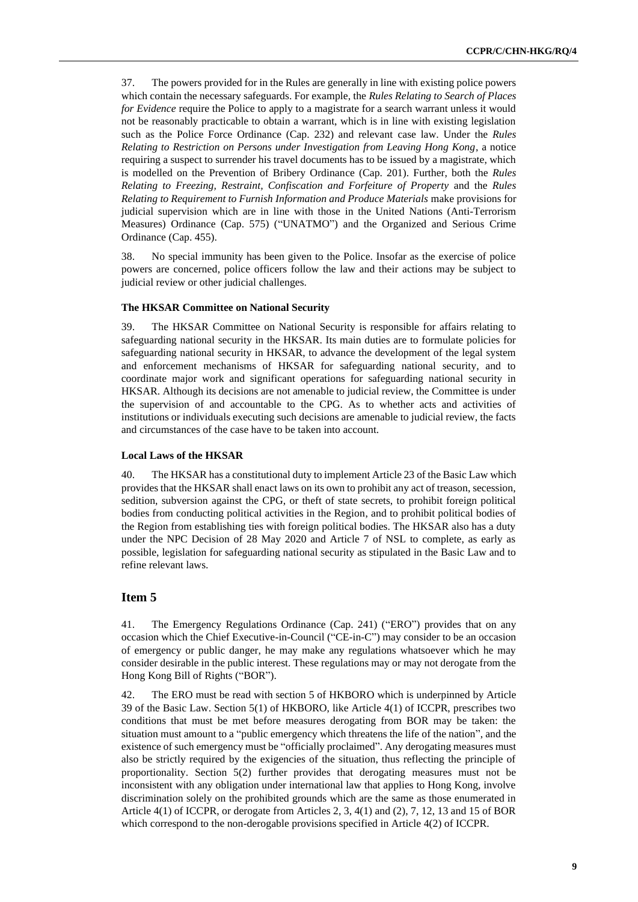37. The powers provided for in the Rules are generally in line with existing police powers which contain the necessary safeguards. For example, the *Rules Relating to Search of Places for Evidence* require the Police to apply to a magistrate for a search warrant unless it would not be reasonably practicable to obtain a warrant, which is in line with existing legislation such as the Police Force Ordinance (Cap. 232) and relevant case law. Under the *Rules Relating to Restriction on Persons under Investigation from Leaving Hong Kong*, a notice requiring a suspect to surrender his travel documents has to be issued by a magistrate, which is modelled on the Prevention of Bribery Ordinance (Cap. 201). Further, both the *Rules Relating to Freezing, Restraint, Confiscation and Forfeiture of Property* and the *Rules Relating to Requirement to Furnish Information and Produce Materials* make provisions for judicial supervision which are in line with those in the United Nations (Anti-Terrorism Measures) Ordinance (Cap. 575) ("UNATMO") and the Organized and Serious Crime Ordinance (Cap. 455).

38. No special immunity has been given to the Police. Insofar as the exercise of police powers are concerned, police officers follow the law and their actions may be subject to judicial review or other judicial challenges.

#### **The HKSAR Committee on National Security**

39. The HKSAR Committee on National Security is responsible for affairs relating to safeguarding national security in the HKSAR. Its main duties are to formulate policies for safeguarding national security in HKSAR, to advance the development of the legal system and enforcement mechanisms of HKSAR for safeguarding national security, and to coordinate major work and significant operations for safeguarding national security in HKSAR. Although its decisions are not amenable to judicial review, the Committee is under the supervision of and accountable to the CPG. As to whether acts and activities of institutions or individuals executing such decisions are amenable to judicial review, the facts and circumstances of the case have to be taken into account.

#### **Local Laws of the HKSAR**

40. The HKSAR has a constitutional duty to implement Article 23 of the Basic Law which provides that the HKSAR shall enact laws on its own to prohibit any act of treason, secession, sedition, subversion against the CPG, or theft of state secrets, to prohibit foreign political bodies from conducting political activities in the Region, and to prohibit political bodies of the Region from establishing ties with foreign political bodies. The HKSAR also has a duty under the NPC Decision of 28 May 2020 and Article 7 of NSL to complete, as early as possible, legislation for safeguarding national security as stipulated in the Basic Law and to refine relevant laws.

### **Item 5**

41. The Emergency Regulations Ordinance (Cap. 241) ("ERO") provides that on any occasion which the Chief Executive-in-Council ("CE-in-C") may consider to be an occasion of emergency or public danger, he may make any regulations whatsoever which he may consider desirable in the public interest. These regulations may or may not derogate from the Hong Kong Bill of Rights ("BOR").

42. The ERO must be read with section 5 of HKBORO which is underpinned by Article 39 of the Basic Law. Section 5(1) of HKBORO, like Article 4(1) of ICCPR, prescribes two conditions that must be met before measures derogating from BOR may be taken: the situation must amount to a "public emergency which threatens the life of the nation", and the existence of such emergency must be "officially proclaimed". Any derogating measures must also be strictly required by the exigencies of the situation, thus reflecting the principle of proportionality. Section 5(2) further provides that derogating measures must not be inconsistent with any obligation under international law that applies to Hong Kong, involve discrimination solely on the prohibited grounds which are the same as those enumerated in Article 4(1) of ICCPR, or derogate from Articles 2, 3, 4(1) and (2), 7, 12, 13 and 15 of BOR which correspond to the non-derogable provisions specified in Article 4(2) of ICCPR.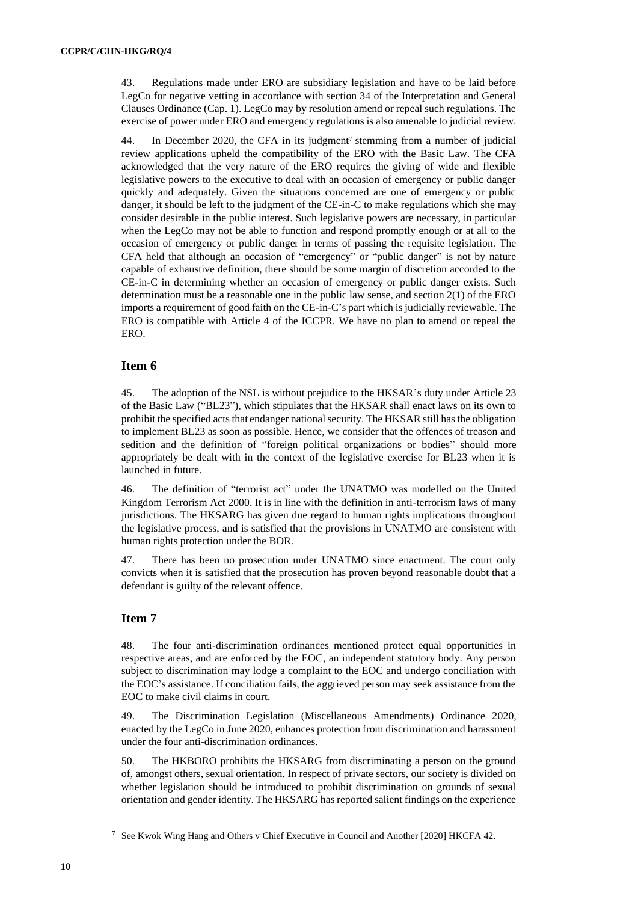43. Regulations made under ERO are subsidiary legislation and have to be laid before LegCo for negative vetting in accordance with section 34 of the Interpretation and General Clauses Ordinance (Cap. 1). LegCo may by resolution amend or repeal such regulations. The exercise of power under ERO and emergency regulations is also amenable to judicial review.

44. In December 2020, the CFA in its judgment<sup>7</sup> stemming from a number of judicial review applications upheld the compatibility of the ERO with the Basic Law. The CFA acknowledged that the very nature of the ERO requires the giving of wide and flexible legislative powers to the executive to deal with an occasion of emergency or public danger quickly and adequately. Given the situations concerned are one of emergency or public danger, it should be left to the judgment of the CE-in-C to make regulations which she may consider desirable in the public interest. Such legislative powers are necessary, in particular when the LegCo may not be able to function and respond promptly enough or at all to the occasion of emergency or public danger in terms of passing the requisite legislation. The CFA held that although an occasion of "emergency" or "public danger" is not by nature capable of exhaustive definition, there should be some margin of discretion accorded to the CE-in-C in determining whether an occasion of emergency or public danger exists. Such determination must be a reasonable one in the public law sense, and section 2(1) of the ERO imports a requirement of good faith on the CE-in-C's part which is judicially reviewable. The ERO is compatible with Article 4 of the ICCPR. We have no plan to amend or repeal the ERO.

# **Item 6**

45. The adoption of the NSL is without prejudice to the HKSAR's duty under Article 23 of the Basic Law ("BL23"), which stipulates that the HKSAR shall enact laws on its own to prohibit the specified acts that endanger national security. The HKSAR still has the obligation to implement BL23 as soon as possible. Hence, we consider that the offences of treason and sedition and the definition of "foreign political organizations or bodies" should more appropriately be dealt with in the context of the legislative exercise for BL23 when it is launched in future.

46. The definition of "terrorist act" under the UNATMO was modelled on the United Kingdom Terrorism Act 2000. It is in line with the definition in anti-terrorism laws of many jurisdictions. The HKSARG has given due regard to human rights implications throughout the legislative process, and is satisfied that the provisions in UNATMO are consistent with human rights protection under the BOR.

47. There has been no prosecution under UNATMO since enactment. The court only convicts when it is satisfied that the prosecution has proven beyond reasonable doubt that a defendant is guilty of the relevant offence.

# **Item 7**

48. The four anti-discrimination ordinances mentioned protect equal opportunities in respective areas, and are enforced by the EOC, an independent statutory body. Any person subject to discrimination may lodge a complaint to the EOC and undergo conciliation with the EOC's assistance. If conciliation fails, the aggrieved person may seek assistance from the EOC to make civil claims in court.

49. The Discrimination Legislation (Miscellaneous Amendments) Ordinance 2020, enacted by the LegCo in June 2020, enhances protection from discrimination and harassment under the four anti-discrimination ordinances.

50. The HKBORO prohibits the HKSARG from discriminating a person on the ground of, amongst others, sexual orientation. In respect of private sectors, our society is divided on whether legislation should be introduced to prohibit discrimination on grounds of sexual orientation and gender identity. The HKSARG has reported salient findings on the experience

<sup>7</sup> See Kwok Wing Hang and Others v Chief Executive in Council and Another [2020] HKCFA 42.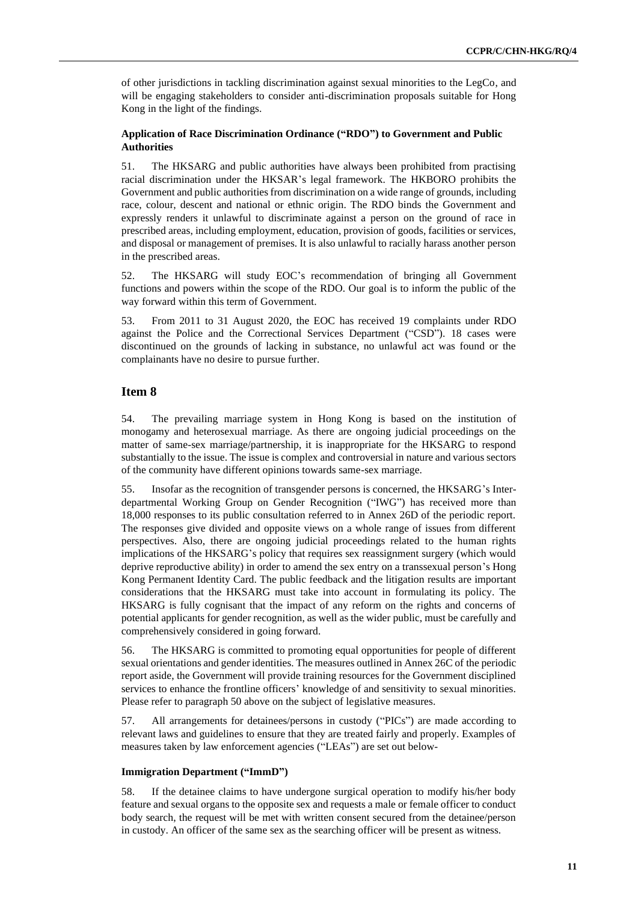of other jurisdictions in tackling discrimination against sexual minorities to the LegCo, and will be engaging stakeholders to consider anti-discrimination proposals suitable for Hong Kong in the light of the findings.

### **Application of Race Discrimination Ordinance ("RDO") to Government and Public Authorities**

51. The HKSARG and public authorities have always been prohibited from practising racial discrimination under the HKSAR's legal framework. The HKBORO prohibits the Government and public authorities from discrimination on a wide range of grounds, including race, colour, descent and national or ethnic origin. The RDO binds the Government and expressly renders it unlawful to discriminate against a person on the ground of race in prescribed areas, including employment, education, provision of goods, facilities or services, and disposal or management of premises. It is also unlawful to racially harass another person in the prescribed areas.

52. The HKSARG will study EOC's recommendation of bringing all Government functions and powers within the scope of the RDO. Our goal is to inform the public of the way forward within this term of Government.

53. From 2011 to 31 August 2020, the EOC has received 19 complaints under RDO against the Police and the Correctional Services Department ("CSD"). 18 cases were discontinued on the grounds of lacking in substance, no unlawful act was found or the complainants have no desire to pursue further.

# **Item 8**

54. The prevailing marriage system in Hong Kong is based on the institution of monogamy and heterosexual marriage. As there are ongoing judicial proceedings on the matter of same-sex marriage/partnership, it is inappropriate for the HKSARG to respond substantially to the issue. The issue is complex and controversial in nature and various sectors of the community have different opinions towards same-sex marriage.

55. Insofar as the recognition of transgender persons is concerned, the HKSARG's Interdepartmental Working Group on Gender Recognition ("IWG") has received more than 18,000 responses to its public consultation referred to in Annex 26D of the periodic report. The responses give divided and opposite views on a whole range of issues from different perspectives. Also, there are ongoing judicial proceedings related to the human rights implications of the HKSARG's policy that requires sex reassignment surgery (which would deprive reproductive ability) in order to amend the sex entry on a transsexual person's Hong Kong Permanent Identity Card. The public feedback and the litigation results are important considerations that the HKSARG must take into account in formulating its policy. The HKSARG is fully cognisant that the impact of any reform on the rights and concerns of potential applicants for gender recognition, as well as the wider public, must be carefully and comprehensively considered in going forward.

56. The HKSARG is committed to promoting equal opportunities for people of different sexual orientations and gender identities. The measures outlined in Annex 26C of the periodic report aside, the Government will provide training resources for the Government disciplined services to enhance the frontline officers' knowledge of and sensitivity to sexual minorities. Please refer to paragraph 50 above on the subject of legislative measures.

57. All arrangements for detainees/persons in custody ("PICs") are made according to relevant laws and guidelines to ensure that they are treated fairly and properly. Examples of measures taken by law enforcement agencies ("LEAs") are set out below-

#### **Immigration Department ("ImmD")**

58. If the detainee claims to have undergone surgical operation to modify his/her body feature and sexual organs to the opposite sex and requests a male or female officer to conduct body search, the request will be met with written consent secured from the detainee/person in custody. An officer of the same sex as the searching officer will be present as witness.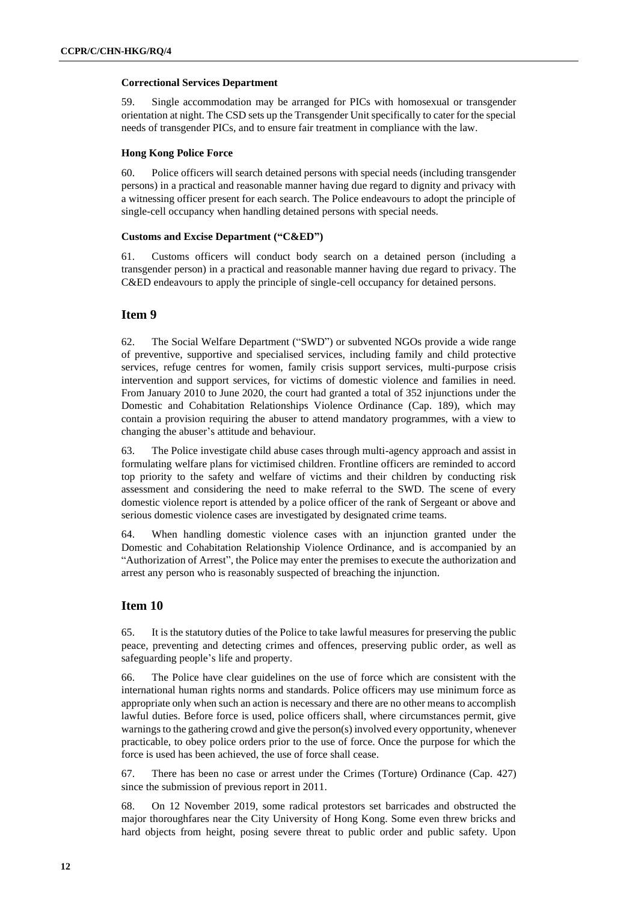#### **Correctional Services Department**

59. Single accommodation may be arranged for PICs with homosexual or transgender orientation at night. The CSD sets up the Transgender Unit specifically to cater for the special needs of transgender PICs, and to ensure fair treatment in compliance with the law.

#### **Hong Kong Police Force**

60. Police officers will search detained persons with special needs (including transgender persons) in a practical and reasonable manner having due regard to dignity and privacy with a witnessing officer present for each search. The Police endeavours to adopt the principle of single-cell occupancy when handling detained persons with special needs.

#### **Customs and Excise Department ("C&ED")**

61. Customs officers will conduct body search on a detained person (including a transgender person) in a practical and reasonable manner having due regard to privacy. The C&ED endeavours to apply the principle of single-cell occupancy for detained persons.

### **Item 9**

62. The Social Welfare Department ("SWD") or subvented NGOs provide a wide range of preventive, supportive and specialised services, including family and child protective services, refuge centres for women, family crisis support services, multi-purpose crisis intervention and support services, for victims of domestic violence and families in need. From January 2010 to June 2020, the court had granted a total of 352 injunctions under the Domestic and Cohabitation Relationships Violence Ordinance (Cap. 189), which may contain a provision requiring the abuser to attend mandatory programmes, with a view to changing the abuser's attitude and behaviour.

63. The Police investigate child abuse cases through multi-agency approach and assist in formulating welfare plans for victimised children. Frontline officers are reminded to accord top priority to the safety and welfare of victims and their children by conducting risk assessment and considering the need to make referral to the SWD. The scene of every domestic violence report is attended by a police officer of the rank of Sergeant or above and serious domestic violence cases are investigated by designated crime teams.

64. When handling domestic violence cases with an injunction granted under the Domestic and Cohabitation Relationship Violence Ordinance, and is accompanied by an "Authorization of Arrest", the Police may enter the premises to execute the authorization and arrest any person who is reasonably suspected of breaching the injunction.

# **Item 10**

65. It is the statutory duties of the Police to take lawful measures for preserving the public peace, preventing and detecting crimes and offences, preserving public order, as well as safeguarding people's life and property.

66. The Police have clear guidelines on the use of force which are consistent with the international human rights norms and standards. Police officers may use minimum force as appropriate only when such an action is necessary and there are no other means to accomplish lawful duties. Before force is used, police officers shall, where circumstances permit, give warnings to the gathering crowd and give the person(s) involved every opportunity, whenever practicable, to obey police orders prior to the use of force. Once the purpose for which the force is used has been achieved, the use of force shall cease.

67. There has been no case or arrest under the Crimes (Torture) Ordinance (Cap. 427) since the submission of previous report in 2011.

68. On 12 November 2019, some radical protestors set barricades and obstructed the major thoroughfares near the City University of Hong Kong. Some even threw bricks and hard objects from height, posing severe threat to public order and public safety. Upon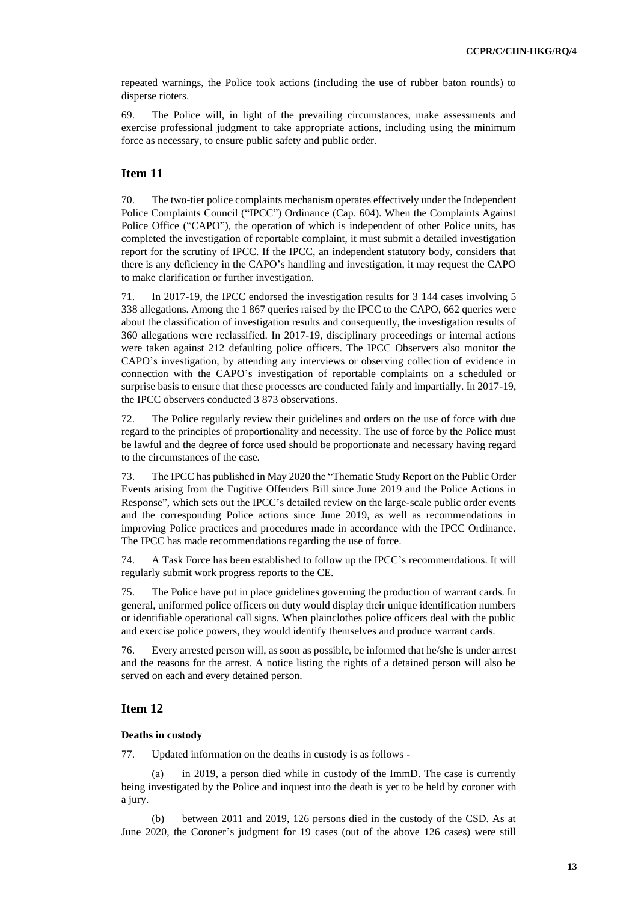repeated warnings, the Police took actions (including the use of rubber baton rounds) to disperse rioters.

69. The Police will, in light of the prevailing circumstances, make assessments and exercise professional judgment to take appropriate actions, including using the minimum force as necessary, to ensure public safety and public order.

# **Item 11**

70. The two-tier police complaints mechanism operates effectively under the Independent Police Complaints Council ("IPCC") Ordinance (Cap. 604). When the Complaints Against Police Office ("CAPO"), the operation of which is independent of other Police units, has completed the investigation of reportable complaint, it must submit a detailed investigation report for the scrutiny of IPCC. If the IPCC, an independent statutory body, considers that there is any deficiency in the CAPO's handling and investigation, it may request the CAPO to make clarification or further investigation.

71. In 2017-19, the IPCC endorsed the investigation results for 3 144 cases involving 5 338 allegations. Among the 1 867 queries raised by the IPCC to the CAPO, 662 queries were about the classification of investigation results and consequently, the investigation results of 360 allegations were reclassified. In 2017-19, disciplinary proceedings or internal actions were taken against 212 defaulting police officers. The IPCC Observers also monitor the CAPO's investigation, by attending any interviews or observing collection of evidence in connection with the CAPO's investigation of reportable complaints on a scheduled or surprise basis to ensure that these processes are conducted fairly and impartially. In 2017-19, the IPCC observers conducted 3 873 observations.

72. The Police regularly review their guidelines and orders on the use of force with due regard to the principles of proportionality and necessity. The use of force by the Police must be lawful and the degree of force used should be proportionate and necessary having regard to the circumstances of the case.

73. The IPCC has published in May 2020 the "Thematic Study Report on the Public Order Events arising from the Fugitive Offenders Bill since June 2019 and the Police Actions in Response", which sets out the IPCC's detailed review on the large-scale public order events and the corresponding Police actions since June 2019, as well as recommendations in improving Police practices and procedures made in accordance with the IPCC Ordinance. The IPCC has made recommendations regarding the use of force.

74. A Task Force has been established to follow up the IPCC's recommendations. It will regularly submit work progress reports to the CE.

75. The Police have put in place guidelines governing the production of warrant cards. In general, uniformed police officers on duty would display their unique identification numbers or identifiable operational call signs. When plainclothes police officers deal with the public and exercise police powers, they would identify themselves and produce warrant cards.

76. Every arrested person will, as soon as possible, be informed that he/she is under arrest and the reasons for the arrest. A notice listing the rights of a detained person will also be served on each and every detained person.

# **Item 12**

#### **Deaths in custody**

77. Updated information on the deaths in custody is as follows -

(a) in 2019, a person died while in custody of the ImmD. The case is currently being investigated by the Police and inquest into the death is yet to be held by coroner with a jury.

(b) between 2011 and 2019, 126 persons died in the custody of the CSD. As at June 2020, the Coroner's judgment for 19 cases (out of the above 126 cases) were still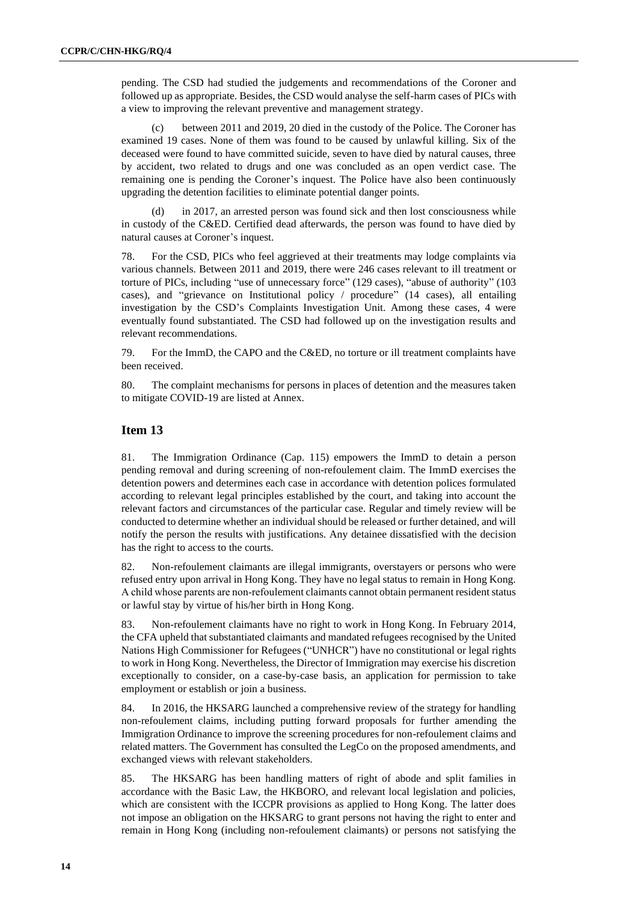pending. The CSD had studied the judgements and recommendations of the Coroner and followed up as appropriate. Besides, the CSD would analyse the self-harm cases of PICs with a view to improving the relevant preventive and management strategy.

(c) between 2011 and 2019, 20 died in the custody of the Police. The Coroner has examined 19 cases. None of them was found to be caused by unlawful killing. Six of the deceased were found to have committed suicide, seven to have died by natural causes, three by accident, two related to drugs and one was concluded as an open verdict case. The remaining one is pending the Coroner's inquest. The Police have also been continuously upgrading the detention facilities to eliminate potential danger points.

(d) in 2017, an arrested person was found sick and then lost consciousness while in custody of the C&ED. Certified dead afterwards, the person was found to have died by natural causes at Coroner's inquest.

78. For the CSD, PICs who feel aggrieved at their treatments may lodge complaints via various channels. Between 2011 and 2019, there were 246 cases relevant to ill treatment or torture of PICs, including "use of unnecessary force" (129 cases), "abuse of authority" (103 cases), and "grievance on Institutional policy / procedure" (14 cases), all entailing investigation by the CSD's Complaints Investigation Unit. Among these cases, 4 were eventually found substantiated. The CSD had followed up on the investigation results and relevant recommendations.

79. For the ImmD, the CAPO and the C&ED, no torture or ill treatment complaints have been received.

80. The complaint mechanisms for persons in places of detention and the measures taken to mitigate COVID-19 are listed at Annex.

### **Item 13**

81. The Immigration Ordinance (Cap. 115) empowers the ImmD to detain a person pending removal and during screening of non-refoulement claim. The ImmD exercises the detention powers and determines each case in accordance with detention polices formulated according to relevant legal principles established by the court, and taking into account the relevant factors and circumstances of the particular case. Regular and timely review will be conducted to determine whether an individual should be released or further detained, and will notify the person the results with justifications. Any detainee dissatisfied with the decision has the right to access to the courts.

82. Non-refoulement claimants are illegal immigrants, overstayers or persons who were refused entry upon arrival in Hong Kong. They have no legal status to remain in Hong Kong. A child whose parents are non‐refoulement claimants cannot obtain permanent resident status or lawful stay by virtue of his/her birth in Hong Kong.

83. Non-refoulement claimants have no right to work in Hong Kong. In February 2014, the CFA upheld that substantiated claimants and mandated refugees recognised by the United Nations High Commissioner for Refugees ("UNHCR") have no constitutional or legal rights to work in Hong Kong. Nevertheless, the Director of Immigration may exercise his discretion exceptionally to consider, on a case-by-case basis, an application for permission to take employment or establish or join a business.

84. In 2016, the HKSARG launched a comprehensive review of the strategy for handling non-refoulement claims, including putting forward proposals for further amending the Immigration Ordinance to improve the screening procedures for non-refoulement claims and related matters. The Government has consulted the LegCo on the proposed amendments, and exchanged views with relevant stakeholders.

85. The HKSARG has been handling matters of right of abode and split families in accordance with the Basic Law, the HKBORO, and relevant local legislation and policies, which are consistent with the ICCPR provisions as applied to Hong Kong. The latter does not impose an obligation on the HKSARG to grant persons not having the right to enter and remain in Hong Kong (including non-refoulement claimants) or persons not satisfying the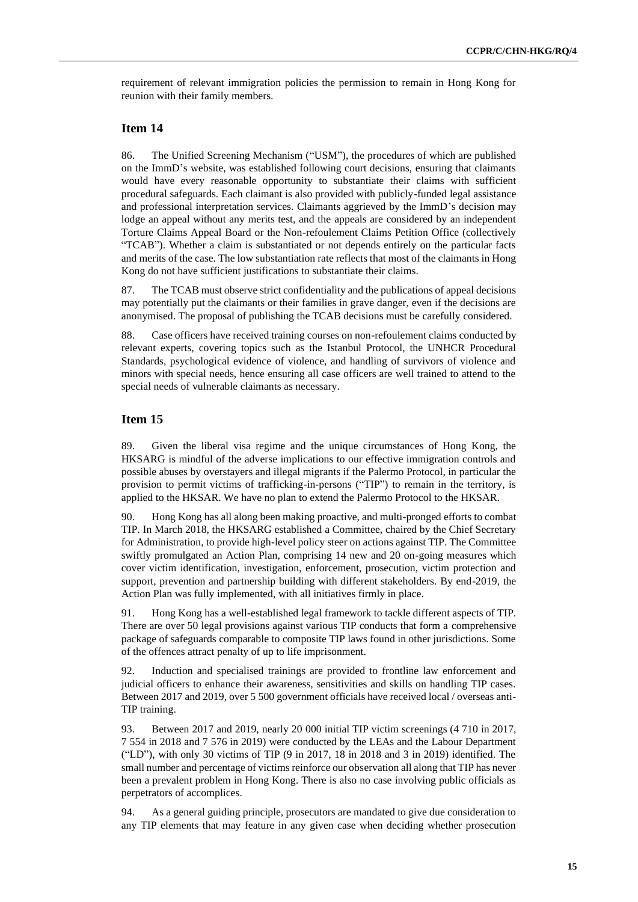requirement of relevant immigration policies the permission to remain in Hong Kong for reunion with their family members.

### **Item 14**

86. The Unified Screening Mechanism ("USM"), the procedures of which are published on the ImmD's website, was established following court decisions, ensuring that claimants would have every reasonable opportunity to substantiate their claims with sufficient procedural safeguards. Each claimant is also provided with publicly-funded legal assistance and professional interpretation services. Claimants aggrieved by the ImmD's decision may lodge an appeal without any merits test, and the appeals are considered by an independent Torture Claims Appeal Board or the Non-refoulement Claims Petition Office (collectively "TCAB"). Whether a claim is substantiated or not depends entirely on the particular facts and merits of the case. The low substantiation rate reflects that most of the claimants in Hong Kong do not have sufficient justifications to substantiate their claims.

87. The TCAB must observe strict confidentiality and the publications of appeal decisions may potentially put the claimants or their families in grave danger, even if the decisions are anonymised. The proposal of publishing the TCAB decisions must be carefully considered.

88. Case officers have received training courses on non-refoulement claims conducted by relevant experts, covering topics such as the Istanbul Protocol, the UNHCR Procedural Standards, psychological evidence of violence, and handling of survivors of violence and minors with special needs, hence ensuring all case officers are well trained to attend to the special needs of vulnerable claimants as necessary.

### **Item 15**

89. Given the liberal visa regime and the unique circumstances of Hong Kong, the HKSARG is mindful of the adverse implications to our effective immigration controls and possible abuses by overstayers and illegal migrants if the Palermo Protocol, in particular the provision to permit victims of trafficking-in-persons ("TIP") to remain in the territory, is applied to the HKSAR. We have no plan to extend the Palermo Protocol to the HKSAR.

90. Hong Kong has all along been making proactive, and multi-pronged efforts to combat TIP. In March 2018, the HKSARG established a Committee, chaired by the Chief Secretary for Administration, to provide high-level policy steer on actions against TIP. The Committee swiftly promulgated an Action Plan, comprising 14 new and 20 on-going measures which cover victim identification, investigation, enforcement, prosecution, victim protection and support, prevention and partnership building with different stakeholders. By end-2019, the Action Plan was fully implemented, with all initiatives firmly in place.

91. Hong Kong has a well-established legal framework to tackle different aspects of TIP. There are over 50 legal provisions against various TIP conducts that form a comprehensive package of safeguards comparable to composite TIP laws found in other jurisdictions. Some of the offences attract penalty of up to life imprisonment.

92. Induction and specialised trainings are provided to frontline law enforcement and judicial officers to enhance their awareness, sensitivities and skills on handling TIP cases. Between 2017 and 2019, over 5 500 government officials have received local / overseas anti-TIP training.

93. Between 2017 and 2019, nearly 20 000 initial TIP victim screenings (4 710 in 2017, 7 554 in 2018 and 7 576 in 2019) were conducted by the LEAs and the Labour Department ("LD"), with only 30 victims of TIP (9 in 2017, 18 in 2018 and 3 in 2019) identified. The small number and percentage of victims reinforce our observation all along that TIP has never been a prevalent problem in Hong Kong. There is also no case involving public officials as perpetrators of accomplices.

94. As a general guiding principle, prosecutors are mandated to give due consideration to any TIP elements that may feature in any given case when deciding whether prosecution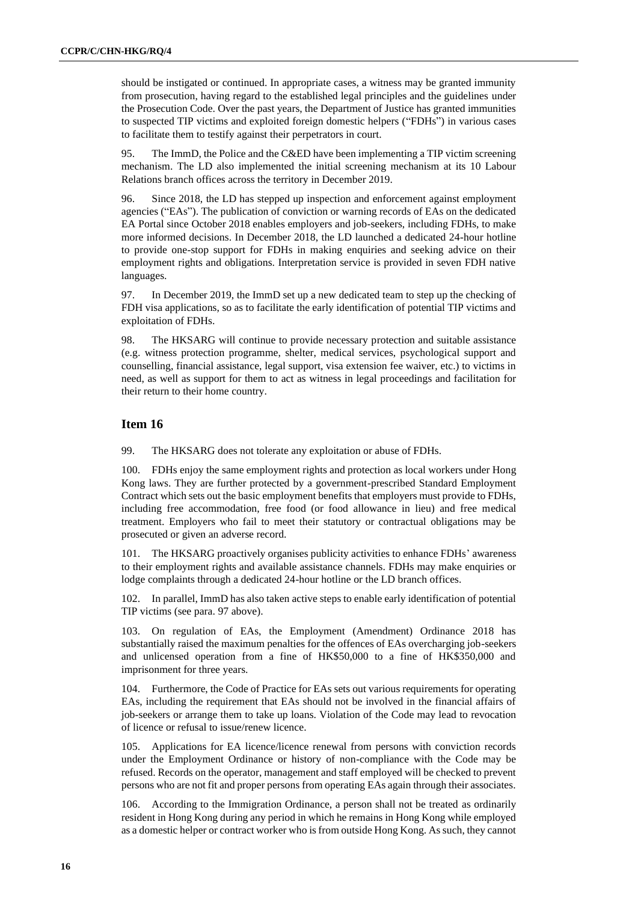should be instigated or continued. In appropriate cases, a witness may be granted immunity from prosecution, having regard to the established legal principles and the guidelines under the Prosecution Code. Over the past years, the Department of Justice has granted immunities to suspected TIP victims and exploited foreign domestic helpers ("FDHs") in various cases to facilitate them to testify against their perpetrators in court.

95. The ImmD, the Police and the C&ED have been implementing a TIP victim screening mechanism. The LD also implemented the initial screening mechanism at its 10 Labour Relations branch offices across the territory in December 2019.

96. Since 2018, the LD has stepped up inspection and enforcement against employment agencies ("EAs"). The publication of conviction or warning records of EAs on the dedicated EA Portal since October 2018 enables employers and job-seekers, including FDHs, to make more informed decisions. In December 2018, the LD launched a dedicated 24-hour hotline to provide one-stop support for FDHs in making enquiries and seeking advice on their employment rights and obligations. Interpretation service is provided in seven FDH native languages.

97. In December 2019, the ImmD set up a new dedicated team to step up the checking of FDH visa applications, so as to facilitate the early identification of potential TIP victims and exploitation of FDHs.

98. The HKSARG will continue to provide necessary protection and suitable assistance (e.g. witness protection programme, shelter, medical services, psychological support and counselling, financial assistance, legal support, visa extension fee waiver, etc.) to victims in need, as well as support for them to act as witness in legal proceedings and facilitation for their return to their home country.

### **Item 16**

99. The HKSARG does not tolerate any exploitation or abuse of FDHs.

100. FDHs enjoy the same employment rights and protection as local workers under Hong Kong laws. They are further protected by a government-prescribed Standard Employment Contract which sets out the basic employment benefits that employers must provide to FDHs, including free accommodation, free food (or food allowance in lieu) and free medical treatment. Employers who fail to meet their statutory or contractual obligations may be prosecuted or given an adverse record.

101. The HKSARG proactively organises publicity activities to enhance FDHs' awareness to their employment rights and available assistance channels. FDHs may make enquiries or lodge complaints through a dedicated 24-hour hotline or the LD branch offices.

102. In parallel, ImmD has also taken active steps to enable early identification of potential TIP victims (see para. 97 above).

103. On regulation of EAs, the Employment (Amendment) Ordinance 2018 has substantially raised the maximum penalties for the offences of EAs overcharging job-seekers and unlicensed operation from a fine of HK\$50,000 to a fine of HK\$350,000 and imprisonment for three years.

104. Furthermore, the Code of Practice for EAs sets out various requirements for operating EAs, including the requirement that EAs should not be involved in the financial affairs of job-seekers or arrange them to take up loans. Violation of the Code may lead to revocation of licence or refusal to issue/renew licence.

105. Applications for EA licence/licence renewal from persons with conviction records under the Employment Ordinance or history of non-compliance with the Code may be refused. Records on the operator, management and staff employed will be checked to prevent persons who are not fit and proper persons from operating EAs again through their associates.

106. According to the Immigration Ordinance, a person shall not be treated as ordinarily resident in Hong Kong during any period in which he remains in Hong Kong while employed as a domestic helper or contract worker who is from outside Hong Kong. As such, they cannot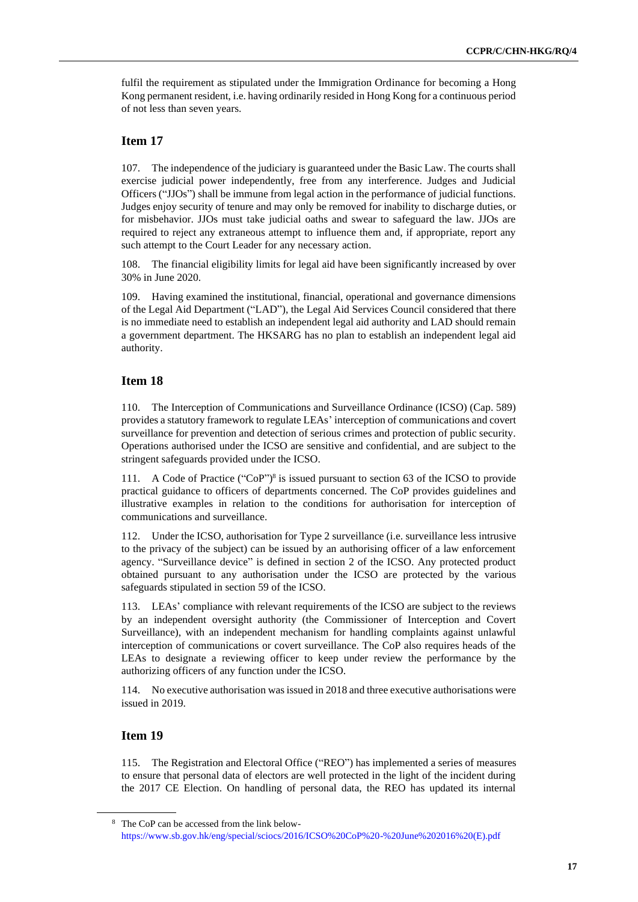fulfil the requirement as stipulated under the Immigration Ordinance for becoming a Hong Kong permanent resident, i.e. having ordinarily resided in Hong Kong for a continuous period of not less than seven years.

# **Item 17**

107. The independence of the judiciary is guaranteed under the Basic Law. The courts shall exercise judicial power independently, free from any interference. Judges and Judicial Officers ("JJOs") shall be immune from legal action in the performance of judicial functions. Judges enjoy security of tenure and may only be removed for inability to discharge duties, or for misbehavior. JJOs must take judicial oaths and swear to safeguard the law. JJOs are required to reject any extraneous attempt to influence them and, if appropriate, report any such attempt to the Court Leader for any necessary action.

108. The financial eligibility limits for legal aid have been significantly increased by over 30% in June 2020.

109. Having examined the institutional, financial, operational and governance dimensions of the Legal Aid Department ("LAD"), the Legal Aid Services Council considered that there is no immediate need to establish an independent legal aid authority and LAD should remain a government department. The HKSARG has no plan to establish an independent legal aid authority.

# **Item 18**

110. The Interception of Communications and Surveillance Ordinance (ICSO) (Cap. 589) provides a statutory framework to regulate LEAs' interception of communications and covert surveillance for prevention and detection of serious crimes and protection of public security. Operations authorised under the ICSO are sensitive and confidential, and are subject to the stringent safeguards provided under the ICSO.

111. A Code of Practice ("CoP") 8 is issued pursuant to section 63 of the ICSO to provide practical guidance to officers of departments concerned. The CoP provides guidelines and illustrative examples in relation to the conditions for authorisation for interception of communications and surveillance.

112. Under the ICSO, authorisation for Type 2 surveillance (i.e. surveillance less intrusive to the privacy of the subject) can be issued by an authorising officer of a law enforcement agency. "Surveillance device" is defined in section 2 of the ICSO. Any protected product obtained pursuant to any authorisation under the ICSO are protected by the various safeguards stipulated in section 59 of the ICSO.

113. LEAs' compliance with relevant requirements of the ICSO are subject to the reviews by an independent oversight authority (the Commissioner of Interception and Covert Surveillance), with an independent mechanism for handling complaints against unlawful interception of communications or covert surveillance. The CoP also requires heads of the LEAs to designate a reviewing officer to keep under review the performance by the authorizing officers of any function under the ICSO.

114. No executive authorisation was issued in 2018 and three executive authorisations were issued in 2019.

# **Item 19**

115. The Registration and Electoral Office ("REO") has implemented a series of measures to ensure that personal data of electors are well protected in the light of the incident during the 2017 CE Election. On handling of personal data, the REO has updated its internal

<sup>8</sup> The CoP can be accessed from the link below[https://www.sb.gov.hk/eng/special/sciocs/2016/ICSO%20CoP%20-%20June%202016%20\(E\).pdf](https://www.sb.gov.hk/eng/special/sciocs/2016/ICSO%20CoP%20-%20June%202016%20(E).pdf)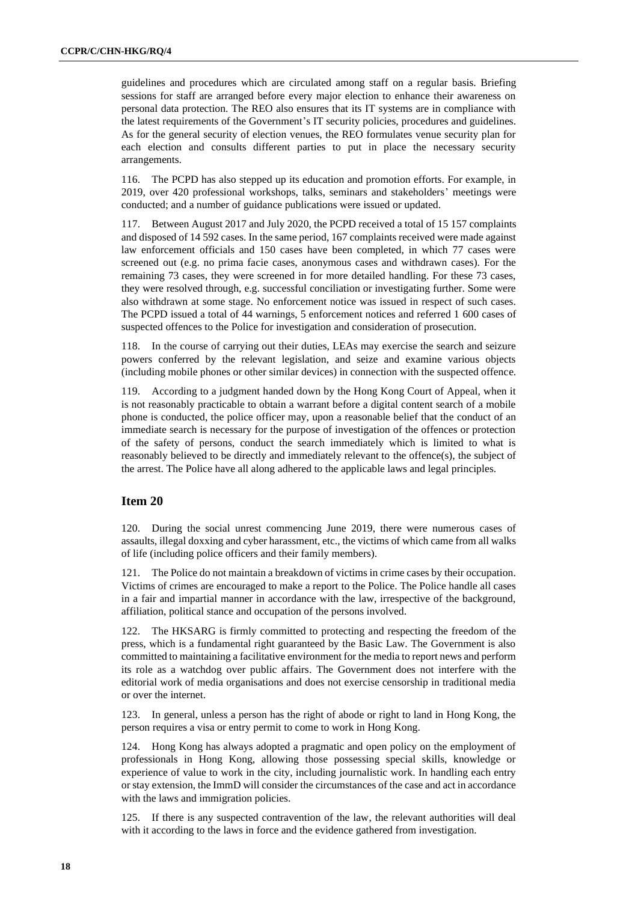guidelines and procedures which are circulated among staff on a regular basis. Briefing sessions for staff are arranged before every major election to enhance their awareness on personal data protection. The REO also ensures that its IT systems are in compliance with the latest requirements of the Government's IT security policies, procedures and guidelines. As for the general security of election venues, the REO formulates venue security plan for each election and consults different parties to put in place the necessary security arrangements.

116. The PCPD has also stepped up its education and promotion efforts. For example, in 2019, over 420 professional workshops, talks, seminars and stakeholders' meetings were conducted; and a number of guidance publications were issued or updated.

117. Between August 2017 and July 2020, the PCPD received a total of 15 157 complaints and disposed of 14 592 cases. In the same period, 167 complaints received were made against law enforcement officials and 150 cases have been completed, in which 77 cases were screened out (e.g. no prima facie cases, anonymous cases and withdrawn cases). For the remaining 73 cases, they were screened in for more detailed handling. For these 73 cases, they were resolved through, e.g. successful conciliation or investigating further. Some were also withdrawn at some stage. No enforcement notice was issued in respect of such cases. The PCPD issued a total of 44 warnings, 5 enforcement notices and referred 1 600 cases of suspected offences to the Police for investigation and consideration of prosecution.

118. In the course of carrying out their duties, LEAs may exercise the search and seizure powers conferred by the relevant legislation, and seize and examine various objects (including mobile phones or other similar devices) in connection with the suspected offence.

119. According to a judgment handed down by the Hong Kong Court of Appeal, when it is not reasonably practicable to obtain a warrant before a digital content search of a mobile phone is conducted, the police officer may, upon a reasonable belief that the conduct of an immediate search is necessary for the purpose of investigation of the offences or protection of the safety of persons, conduct the search immediately which is limited to what is reasonably believed to be directly and immediately relevant to the offence(s), the subject of the arrest. The Police have all along adhered to the applicable laws and legal principles.

### **Item 20**

120. During the social unrest commencing June 2019, there were numerous cases of assaults, illegal doxxing and cyber harassment, etc., the victims of which came from all walks of life (including police officers and their family members).

121. The Police do not maintain a breakdown of victims in crime cases by their occupation. Victims of crimes are encouraged to make a report to the Police. The Police handle all cases in a fair and impartial manner in accordance with the law, irrespective of the background, affiliation, political stance and occupation of the persons involved.

122. The HKSARG is firmly committed to protecting and respecting the freedom of the press, which is a fundamental right guaranteed by the Basic Law. The Government is also committed to maintaining a facilitative environment for the media to report news and perform its role as a watchdog over public affairs. The Government does not interfere with the editorial work of media organisations and does not exercise censorship in traditional media or over the internet.

123. In general, unless a person has the right of abode or right to land in Hong Kong, the person requires a visa or entry permit to come to work in Hong Kong.

124. Hong Kong has always adopted a pragmatic and open policy on the employment of professionals in Hong Kong, allowing those possessing special skills, knowledge or experience of value to work in the city, including journalistic work. In handling each entry or stay extension, the ImmD will consider the circumstances of the case and act in accordance with the laws and immigration policies.

125. If there is any suspected contravention of the law, the relevant authorities will deal with it according to the laws in force and the evidence gathered from investigation.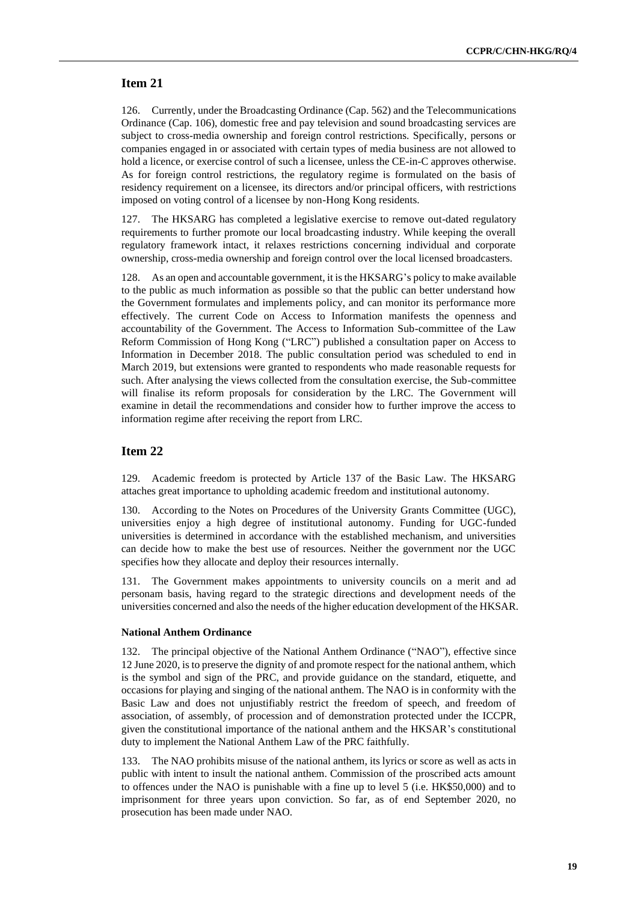# **Item 21**

126. Currently, under the Broadcasting Ordinance (Cap. 562) and the Telecommunications Ordinance (Cap. 106), domestic free and pay television and sound broadcasting services are subject to cross-media ownership and foreign control restrictions. Specifically, persons or companies engaged in or associated with certain types of media business are not allowed to hold a licence, or exercise control of such a licensee, unless the CE-in-C approves otherwise. As for foreign control restrictions, the regulatory regime is formulated on the basis of residency requirement on a licensee, its directors and/or principal officers, with restrictions imposed on voting control of a licensee by non-Hong Kong residents.

127. The HKSARG has completed a legislative exercise to remove out-dated regulatory requirements to further promote our local broadcasting industry. While keeping the overall regulatory framework intact, it relaxes restrictions concerning individual and corporate ownership, cross-media ownership and foreign control over the local licensed broadcasters.

128. As an open and accountable government, it is the HKSARG's policy to make available to the public as much information as possible so that the public can better understand how the Government formulates and implements policy, and can monitor its performance more effectively. The current Code on Access to Information manifests the openness and accountability of the Government. The Access to Information Sub-committee of the Law Reform Commission of Hong Kong ("LRC") published a consultation paper on Access to Information in December 2018. The public consultation period was scheduled to end in March 2019, but extensions were granted to respondents who made reasonable requests for such. After analysing the views collected from the consultation exercise, the Sub-committee will finalise its reform proposals for consideration by the LRC. The Government will examine in detail the recommendations and consider how to further improve the access to information regime after receiving the report from LRC.

## **Item 22**

129. Academic freedom is protected by Article 137 of the Basic Law. The HKSARG attaches great importance to upholding academic freedom and institutional autonomy.

130. According to the Notes on Procedures of the University Grants Committee (UGC), universities enjoy a high degree of institutional autonomy. Funding for UGC-funded universities is determined in accordance with the established mechanism, and universities can decide how to make the best use of resources. Neither the government nor the UGC specifies how they allocate and deploy their resources internally.

131. The Government makes appointments to university councils on a merit and ad personam basis, having regard to the strategic directions and development needs of the universities concerned and also the needs of the higher education development of the HKSAR.

#### **National Anthem Ordinance**

132. The principal objective of the National Anthem Ordinance ("NAO"), effective since 12 June 2020, is to preserve the dignity of and promote respect for the national anthem, which is the symbol and sign of the PRC, and provide guidance on the standard, etiquette, and occasions for playing and singing of the national anthem. The NAO is in conformity with the Basic Law and does not unjustifiably restrict the freedom of speech, and freedom of association, of assembly, of procession and of demonstration protected under the ICCPR, given the constitutional importance of the national anthem and the HKSAR's constitutional duty to implement the National Anthem Law of the PRC faithfully.

133. The NAO prohibits misuse of the national anthem, its lyrics or score as well as acts in public with intent to insult the national anthem. Commission of the proscribed acts amount to offences under the NAO is punishable with a fine up to level 5 (i.e. HK\$50,000) and to imprisonment for three years upon conviction. So far, as of end September 2020, no prosecution has been made under NAO.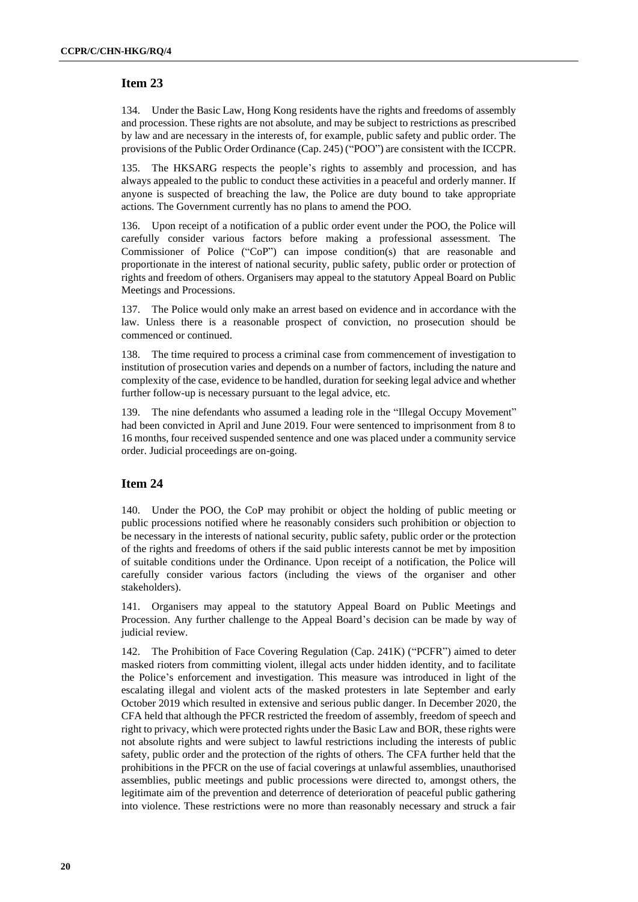# **Item 23**

134. Under the Basic Law, Hong Kong residents have the rights and freedoms of assembly and procession. These rights are not absolute, and may be subject to restrictions as prescribed by law and are necessary in the interests of, for example, public safety and public order. The provisions of the Public Order Ordinance (Cap. 245) ("POO") are consistent with the ICCPR.

The HKSARG respects the people's rights to assembly and procession, and has always appealed to the public to conduct these activities in a peaceful and orderly manner. If anyone is suspected of breaching the law, the Police are duty bound to take appropriate actions. The Government currently has no plans to amend the POO.

136. Upon receipt of a notification of a public order event under the POO, the Police will carefully consider various factors before making a professional assessment. The Commissioner of Police ("CoP") can impose condition(s) that are reasonable and proportionate in the interest of national security, public safety, public order or protection of rights and freedom of others. Organisers may appeal to the statutory Appeal Board on Public Meetings and Processions.

137. The Police would only make an arrest based on evidence and in accordance with the law. Unless there is a reasonable prospect of conviction, no prosecution should be commenced or continued.

138. The time required to process a criminal case from commencement of investigation to institution of prosecution varies and depends on a number of factors, including the nature and complexity of the case, evidence to be handled, duration for seeking legal advice and whether further follow-up is necessary pursuant to the legal advice, etc.

139. The nine defendants who assumed a leading role in the "Illegal Occupy Movement" had been convicted in April and June 2019. Four were sentenced to imprisonment from 8 to 16 months, four received suspended sentence and one was placed under a community service order. Judicial proceedings are on-going.

# **Item 24**

140. Under the POO, the CoP may prohibit or object the holding of public meeting or public processions notified where he reasonably considers such prohibition or objection to be necessary in the interests of national security, public safety, public order or the protection of the rights and freedoms of others if the said public interests cannot be met by imposition of suitable conditions under the Ordinance. Upon receipt of a notification, the Police will carefully consider various factors (including the views of the organiser and other stakeholders).

141. Organisers may appeal to the statutory Appeal Board on Public Meetings and Procession. Any further challenge to the Appeal Board's decision can be made by way of judicial review.

142. The Prohibition of Face Covering Regulation (Cap. 241K) ("PCFR") aimed to deter masked rioters from committing violent, illegal acts under hidden identity, and to facilitate the Police's enforcement and investigation. This measure was introduced in light of the escalating illegal and violent acts of the masked protesters in late September and early October 2019 which resulted in extensive and serious public danger. In December 2020, the CFA held that although the PFCR restricted the freedom of assembly, freedom of speech and right to privacy, which were protected rights under the Basic Law and BOR, these rights were not absolute rights and were subject to lawful restrictions including the interests of public safety, public order and the protection of the rights of others. The CFA further held that the prohibitions in the PFCR on the use of facial coverings at unlawful assemblies, unauthorised assemblies, public meetings and public processions were directed to, amongst others, the legitimate aim of the prevention and deterrence of deterioration of peaceful public gathering into violence. These restrictions were no more than reasonably necessary and struck a fair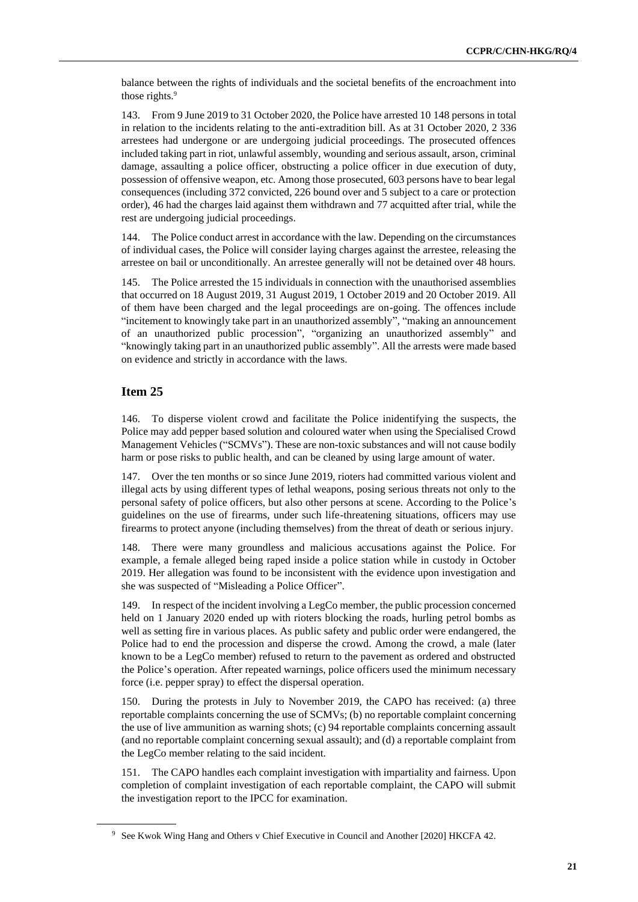balance between the rights of individuals and the societal benefits of the encroachment into those rights.<sup>9</sup>

143. From 9 June 2019 to 31 October 2020, the Police have arrested 10 148 persons in total in relation to the incidents relating to the anti-extradition bill. As at 31 October 2020, 2 336 arrestees had undergone or are undergoing judicial proceedings. The prosecuted offences included taking part in riot, unlawful assembly, wounding and serious assault, arson, criminal damage, assaulting a police officer, obstructing a police officer in due execution of duty, possession of offensive weapon, etc. Among those prosecuted, 603 persons have to bear legal consequences (including 372 convicted, 226 bound over and 5 subject to a care or protection order), 46 had the charges laid against them withdrawn and 77 acquitted after trial, while the rest are undergoing judicial proceedings.

144. The Police conduct arrest in accordance with the law. Depending on the circumstances of individual cases, the Police will consider laying charges against the arrestee, releasing the arrestee on bail or unconditionally. An arrestee generally will not be detained over 48 hours.

145. The Police arrested the 15 individuals in connection with the unauthorised assemblies that occurred on 18 August 2019, 31 August 2019, 1 October 2019 and 20 October 2019. All of them have been charged and the legal proceedings are on-going. The offences include "incitement to knowingly take part in an unauthorized assembly", "making an announcement of an unauthorized public procession", "organizing an unauthorized assembly" and "knowingly taking part in an unauthorized public assembly". All the arrests were made based on evidence and strictly in accordance with the laws.

### **Item 25**

146. To disperse violent crowd and facilitate the Police inidentifying the suspects, the Police may add pepper based solution and coloured water when using the Specialised Crowd Management Vehicles ("SCMVs"). These are non-toxic substances and will not cause bodily harm or pose risks to public health, and can be cleaned by using large amount of water.

147. Over the ten months or so since June 2019, rioters had committed various violent and illegal acts by using different types of lethal weapons, posing serious threats not only to the personal safety of police officers, but also other persons at scene. According to the Police's guidelines on the use of firearms, under such life-threatening situations, officers may use firearms to protect anyone (including themselves) from the threat of death or serious injury.

148. There were many groundless and malicious accusations against the Police. For example, a female alleged being raped inside a police station while in custody in October 2019. Her allegation was found to be inconsistent with the evidence upon investigation and she was suspected of "Misleading a Police Officer".

149. In respect of the incident involving a LegCo member, the public procession concerned held on 1 January 2020 ended up with rioters blocking the roads, hurling petrol bombs as well as setting fire in various places. As public safety and public order were endangered, the Police had to end the procession and disperse the crowd. Among the crowd, a male (later known to be a LegCo member) refused to return to the pavement as ordered and obstructed the Police's operation. After repeated warnings, police officers used the minimum necessary force (i.e. pepper spray) to effect the dispersal operation.

150. During the protests in July to November 2019, the CAPO has received: (a) three reportable complaints concerning the use of SCMVs; (b) no reportable complaint concerning the use of live ammunition as warning shots; (c) 94 reportable complaints concerning assault (and no reportable complaint concerning sexual assault); and (d) a reportable complaint from the LegCo member relating to the said incident.

The CAPO handles each complaint investigation with impartiality and fairness. Upon completion of complaint investigation of each reportable complaint, the CAPO will submit the investigation report to the IPCC for examination.

<sup>9</sup> See Kwok Wing Hang and Others v Chief Executive in Council and Another [2020] HKCFA 42.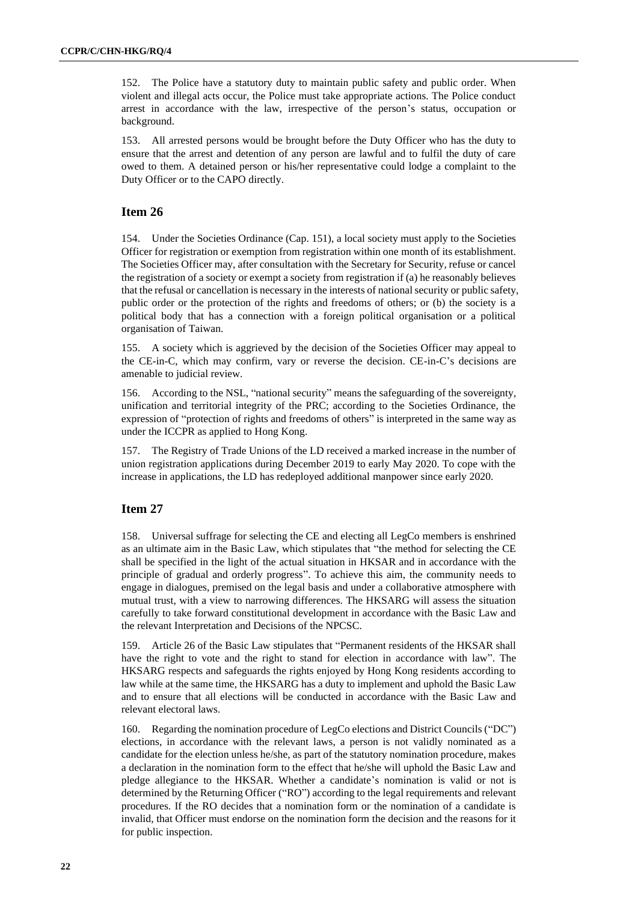152. The Police have a statutory duty to maintain public safety and public order. When violent and illegal acts occur, the Police must take appropriate actions. The Police conduct arrest in accordance with the law, irrespective of the person's status, occupation or background.

153. All arrested persons would be brought before the Duty Officer who has the duty to ensure that the arrest and detention of any person are lawful and to fulfil the duty of care owed to them. A detained person or his/her representative could lodge a complaint to the Duty Officer or to the CAPO directly.

### **Item 26**

154. Under the Societies Ordinance (Cap. 151), a local society must apply to the Societies Officer for registration or exemption from registration within one month of its establishment. The Societies Officer may, after consultation with the Secretary for Security, refuse or cancel the registration of a society or exempt a society from registration if (a) he reasonably believes that the refusal or cancellation is necessary in the interests of national security or public safety, public order or the protection of the rights and freedoms of others; or (b) the society is a political body that has a connection with a foreign political organisation or a political organisation of Taiwan.

155. A society which is aggrieved by the decision of the Societies Officer may appeal to the CE-in-C, which may confirm, vary or reverse the decision. CE-in-C's decisions are amenable to judicial review.

156. According to the NSL, "national security" means the safeguarding of the sovereignty, unification and territorial integrity of the PRC; according to the Societies Ordinance, the expression of "protection of rights and freedoms of others" is interpreted in the same way as under the ICCPR as applied to Hong Kong.

157. The Registry of Trade Unions of the LD received a marked increase in the number of union registration applications during December 2019 to early May 2020. To cope with the increase in applications, the LD has redeployed additional manpower since early 2020.

### **Item 27**

158. Universal suffrage for selecting the CE and electing all LegCo members is enshrined as an ultimate aim in the Basic Law, which stipulates that "the method for selecting the CE shall be specified in the light of the actual situation in HKSAR and in accordance with the principle of gradual and orderly progress". To achieve this aim, the community needs to engage in dialogues, premised on the legal basis and under a collaborative atmosphere with mutual trust, with a view to narrowing differences. The HKSARG will assess the situation carefully to take forward constitutional development in accordance with the Basic Law and the relevant Interpretation and Decisions of the NPCSC.

159. Article 26 of the Basic Law stipulates that "Permanent residents of the HKSAR shall have the right to vote and the right to stand for election in accordance with law". The HKSARG respects and safeguards the rights enjoyed by Hong Kong residents according to law while at the same time, the HKSARG has a duty to implement and uphold the Basic Law and to ensure that all elections will be conducted in accordance with the Basic Law and relevant electoral laws.

160. Regarding the nomination procedure of LegCo elections and District Councils ("DC") elections, in accordance with the relevant laws, a person is not validly nominated as a candidate for the election unless he/she, as part of the statutory nomination procedure, makes a declaration in the nomination form to the effect that he/she will uphold the Basic Law and pledge allegiance to the HKSAR. Whether a candidate's nomination is valid or not is determined by the Returning Officer ("RO") according to the legal requirements and relevant procedures. If the RO decides that a nomination form or the nomination of a candidate is invalid, that Officer must endorse on the nomination form the decision and the reasons for it for public inspection.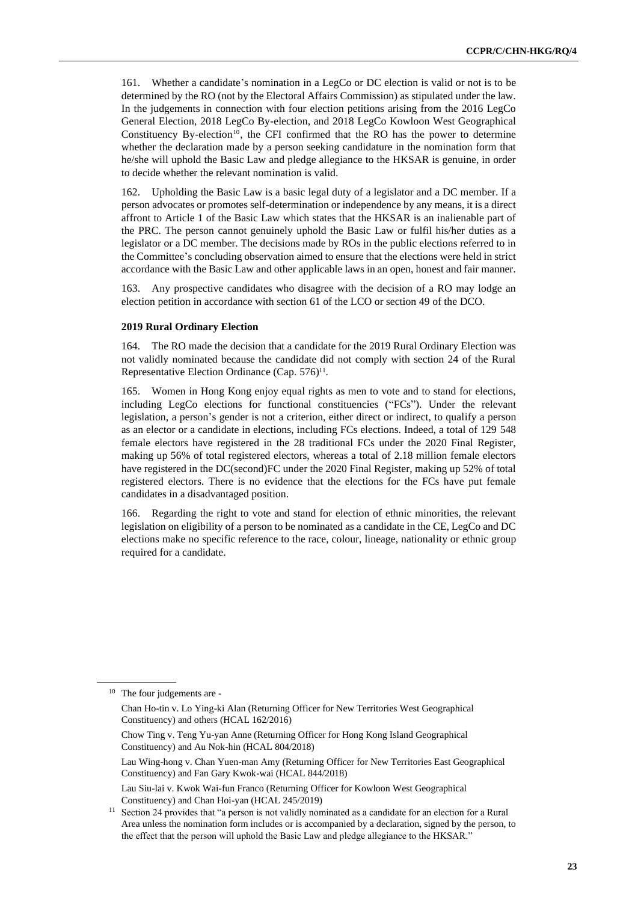161. Whether a candidate's nomination in a LegCo or DC election is valid or not is to be determined by the RO (not by the Electoral Affairs Commission) as stipulated under the law. In the judgements in connection with four election petitions arising from the 2016 LegCo General Election, 2018 LegCo By-election, and 2018 LegCo Kowloon West Geographical Constituency By-election<sup>10</sup>, the CFI confirmed that the RO has the power to determine whether the declaration made by a person seeking candidature in the nomination form that he/she will uphold the Basic Law and pledge allegiance to the HKSAR is genuine, in order to decide whether the relevant nomination is valid.

162. Upholding the Basic Law is a basic legal duty of a legislator and a DC member. If a person advocates or promotes self-determination or independence by any means, it is a direct affront to Article 1 of the Basic Law which states that the HKSAR is an inalienable part of the PRC. The person cannot genuinely uphold the Basic Law or fulfil his/her duties as a legislator or a DC member. The decisions made by ROs in the public elections referred to in the Committee's concluding observation aimed to ensure that the elections were held in strict accordance with the Basic Law and other applicable laws in an open, honest and fair manner.

163. Any prospective candidates who disagree with the decision of a RO may lodge an election petition in accordance with section 61 of the LCO or section 49 of the DCO.

#### **2019 Rural Ordinary Election**

164. The RO made the decision that a candidate for the 2019 Rural Ordinary Election was not validly nominated because the candidate did not comply with section 24 of the Rural Representative Election Ordinance (Cap. 576)<sup>11</sup>.

165. Women in Hong Kong enjoy equal rights as men to vote and to stand for elections, including LegCo elections for functional constituencies ("FCs"). Under the relevant legislation, a person's gender is not a criterion, either direct or indirect, to qualify a person as an elector or a candidate in elections, including FCs elections. Indeed, a total of 129 548 female electors have registered in the 28 traditional FCs under the 2020 Final Register, making up 56% of total registered electors, whereas a total of 2.18 million female electors have registered in the DC(second)FC under the 2020 Final Register, making up 52% of total registered electors. There is no evidence that the elections for the FCs have put female candidates in a disadvantaged position.

166. Regarding the right to vote and stand for election of ethnic minorities, the relevant legislation on eligibility of a person to be nominated as a candidate in the CE, LegCo and DC elections make no specific reference to the race, colour, lineage, nationality or ethnic group required for a candidate.

<sup>&</sup>lt;sup>10</sup> The four judgements are -

Chan Ho-tin v. Lo Ying-ki Alan (Returning Officer for New Territories West Geographical Constituency) and others (HCAL 162/2016)

Chow Ting v. Teng Yu-yan Anne (Returning Officer for Hong Kong Island Geographical Constituency) and Au Nok-hin (HCAL 804/2018)

Lau Wing-hong v. Chan Yuen-man Amy (Returning Officer for New Territories East Geographical Constituency) and Fan Gary Kwok-wai (HCAL 844/2018)

Lau Siu-lai v. Kwok Wai-fun Franco (Returning Officer for Kowloon West Geographical Constituency) and Chan Hoi-yan (HCAL 245/2019)

<sup>&</sup>lt;sup>11</sup> Section 24 provides that "a person is not validly nominated as a candidate for an election for a Rural Area unless the nomination form includes or is accompanied by a declaration, signed by the person, to the effect that the person will uphold the Basic Law and pledge allegiance to the HKSAR."